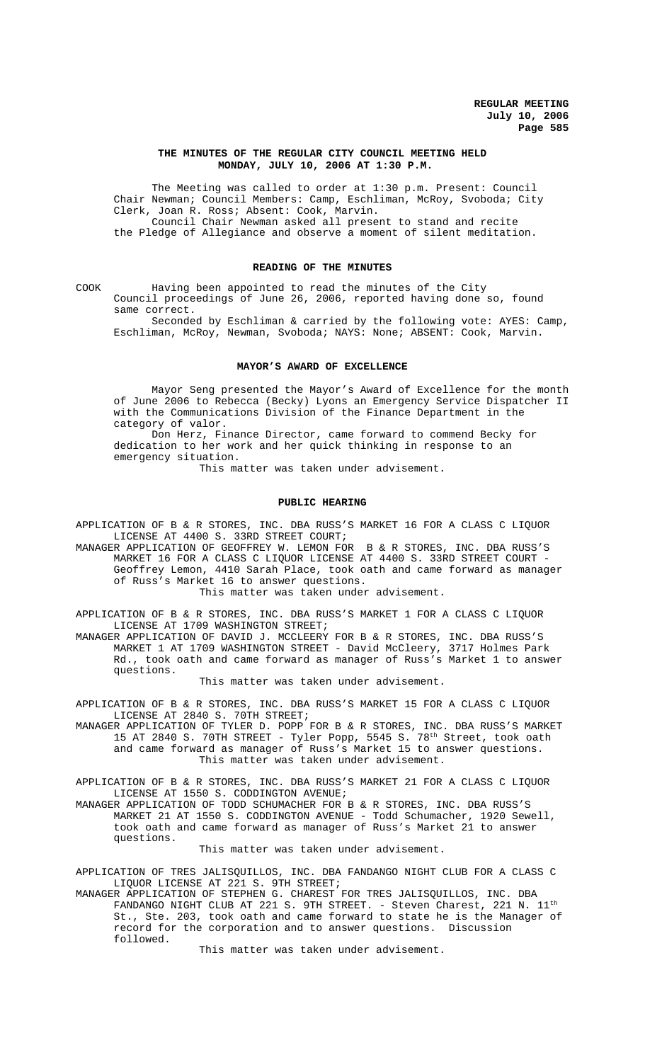# **THE MINUTES OF THE REGULAR CITY COUNCIL MEETING HELD MONDAY, JULY 10, 2006 AT 1:30 P.M.**

The Meeting was called to order at 1:30 p.m. Present: Council Chair Newman; Council Members: Camp, Eschliman, McRoy, Svoboda; City Clerk, Joan R. Ross; Absent: Cook, Marvin. Council Chair Newman asked all present to stand and recite the Pledge of Allegiance and observe a moment of silent meditation.

## **READING OF THE MINUTES**

COOK Having been appointed to read the minutes of the City Council proceedings of June 26, 2006, reported having done so, found same correct.

Seconded by Eschliman & carried by the following vote: AYES: Camp, Eschliman, McRoy, Newman, Svoboda; NAYS: None; ABSENT: Cook, Marvin.

#### **MAYOR'S AWARD OF EXCELLENCE**

Mayor Seng presented the Mayor's Award of Excellence for the month of June 2006 to Rebecca (Becky) Lyons an Emergency Service Dispatcher II with the Communications Division of the Finance Department in the category of valor.

Don Herz, Finance Director, came forward to commend Becky for dedication to her work and her quick thinking in response to an emergency situation.

This matter was taken under advisement.

### **PUBLIC HEARING**

APPLICATION OF B & R STORES, INC. DBA RUSS'S MARKET 16 FOR A CLASS C LIQUOR LICENSE AT 4400 S. 33RD STREET COURT;

MANAGER APPLICATION OF GEOFFREY W. LEMON FOR B & R STORES, INC. DBA RUSS'S MARKET 16 FOR A CLASS C LIQUOR LICENSE AT 4400 S. 33RD STREET COURT - Geoffrey Lemon, 4410 Sarah Place, took oath and came forward as manager of Russ's Market 16 to answer questions.

This matter was taken under advisement.

APPLICATION OF B & R STORES, INC. DBA RUSS'S MARKET 1 FOR A CLASS C LIQUOR LICENSE AT 1709 WASHINGTON STREET;

MANAGER APPLICATION OF DAVID J. MCCLEERY FOR B & R STORES, INC. DBA RUSS'S MARKET 1 AT 1709 WASHINGTON STREET - David McCleery, 3717 Holmes Park Rd., took oath and came forward as manager of Russ's Market 1 to answer questions.

This matter was taken under advisement.

APPLICATION OF B & R STORES, INC. DBA RUSS'S MARKET 15 FOR A CLASS C LIQUOR LICENSE AT 2840 S. 70TH STREET;

MANAGER APPLICATION OF TYLER D. POPP FOR B & R STORES, INC. DBA RUSS'S MARKET 15 AT 2840 S. 70TH STREET - Tyler Popp, 5545 S. 78<sup>th</sup> Street, took oath and came forward as manager of Russ's Market 15 to answer questions. This matter was taken under advisement.

APPLICATION OF B & R STORES, INC. DBA RUSS'S MARKET 21 FOR A CLASS C LIQUOR LICENSE AT 1550 S. CODDINGTON AVENUE;

MANAGER APPLICATION OF TODD SCHUMACHER FOR B & R STORES, INC. DBA RUSS'S MARKET 21 AT 1550 S. CODDINGTON AVENUE - Todd Schumacher, 1920 Sewell, took oath and came forward as manager of Russ's Market 21 to answer questions.

This matter was taken under advisement.

APPLICATION OF TRES JALISQUILLOS, INC. DBA FANDANGO NIGHT CLUB FOR A CLASS C LIQUOR LICENSE AT 221 S. 9TH STREET;

MANAGER APPLICATION OF STEPHEN G. CHAREST FOR TRES JALISQUILLOS, INC. DBA FANDANGO NIGHT CLUB AT 221 S. 9TH STREET. - Steven Charest, 221 N. 11<sup>th</sup> St., Ste. 203, took oath and came forward to state he is the Manager of record for the corporation and to answer questions. Discussion followed.

This matter was taken under advisement.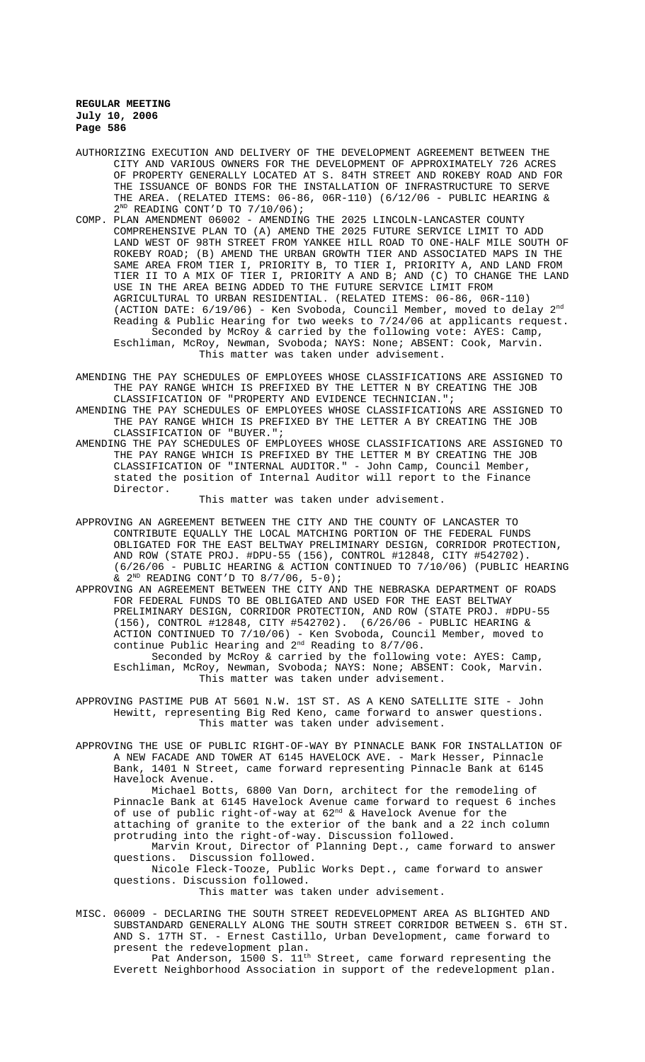- AUTHORIZING EXECUTION AND DELIVERY OF THE DEVELOPMENT AGREEMENT BETWEEN THE CITY AND VARIOUS OWNERS FOR THE DEVELOPMENT OF APPROXIMATELY 726 ACRES OF PROPERTY GENERALLY LOCATED AT S. 84TH STREET AND ROKEBY ROAD AND FOR THE ISSUANCE OF BONDS FOR THE INSTALLATION OF INFRASTRUCTURE TO SERVE THE AREA. (RELATED ITEMS:  $06-86$ ,  $06R-110$ ) ( $6/12/06$  - PUBLIC HEARING &  $2^{ND}$  READING CONT'D TO  $7/10/06$ );
- COMP. PLAN AMENDMENT 06002 AMENDING THE 2025 LINCOLN-LANCASTER COUNTY COMPREHENSIVE PLAN TO (A) AMEND THE 2025 FUTURE SERVICE LIMIT TO ADD LAND WEST OF 98TH STREET FROM YANKEE HILL ROAD TO ONE-HALF MILE SOUTH OF ROKEBY ROAD; (B) AMEND THE URBAN GROWTH TIER AND ASSOCIATED MAPS IN THE SAME AREA FROM TIER I, PRIORITY B, TO TIER I, PRIORITY A, AND LAND FROM TIER II TO A MIX OF TIER I, PRIORITY A AND B; AND (C) TO CHANGE THE LAND USE IN THE AREA BEING ADDED TO THE FUTURE SERVICE LIMIT FROM AGRICULTURAL TO URBAN RESIDENTIAL. (RELATED ITEMS: 06-86, 06R-110) (ACTION DATE: 6/19/06) - Ken Svoboda, Council Member, moved to delay 2nd Reading & Public Hearing for two weeks to 7/24/06 at applicants request. Seconded by McRoy & carried by the following vote: AYES: Camp, Eschliman, McRoy, Newman, Svoboda; NAYS: None; ABSENT: Cook, Marvin. This matter was taken under advisement.
- AMENDING THE PAY SCHEDULES OF EMPLOYEES WHOSE CLASSIFICATIONS ARE ASSIGNED TO THE PAY RANGE WHICH IS PREFIXED BY THE LETTER N BY CREATING THE JOB CLASSIFICATION OF "PROPERTY AND EVIDENCE TECHNICIAN.";
- AMENDING THE PAY SCHEDULES OF EMPLOYEES WHOSE CLASSIFICATIONS ARE ASSIGNED TO THE PAY RANGE WHICH IS PREFIXED BY THE LETTER A BY CREATING THE JOB CLASSIFICATION OF "BUYER.";
- AMENDING THE PAY SCHEDULES OF EMPLOYEES WHOSE CLASSIFICATIONS ARE ASSIGNED TO THE PAY RANGE WHICH IS PREFIXED BY THE LETTER M BY CREATING THE JOB CLASSIFICATION OF "INTERNAL AUDITOR." - John Camp, Council Member, stated the position of Internal Auditor will report to the Finance Director.

This matter was taken under advisement.

- APPROVING AN AGREEMENT BETWEEN THE CITY AND THE COUNTY OF LANCASTER TO CONTRIBUTE EQUALLY THE LOCAL MATCHING PORTION OF THE FEDERAL FUNDS OBLIGATED FOR THE EAST BELTWAY PRELIMINARY DESIGN, CORRIDOR PROTECTION, AND ROW (STATE PROJ. #DPU-55 (156), CONTROL #12848, CITY #542702). (6/26/06 - PUBLIC HEARING & ACTION CONTINUED TO 7/10/06) (PUBLIC HEARING  $\&$  2<sup>ND</sup> READING CONT'D TO 8/7/06, 5-0);
- APPROVING AN AGREEMENT BETWEEN THE CITY AND THE NEBRASKA DEPARTMENT OF ROADS FOR FEDERAL FUNDS TO BE OBLIGATED AND USED FOR THE EAST BELTWAY PRELIMINARY DESIGN, CORRIDOR PROTECTION, AND ROW (STATE PROJ. #DPU-55 (156), CONTROL #12848, CITY #542702). (6/26/06 - PUBLIC HEARING & ACTION CONTINUED TO 7/10/06) - Ken Svoboda, Council Member, moved to continue Public Hearing and 2<sup>nd</sup> Reading to 8/7/06.
	- Seconded by McRoy & carried by the following vote: AYES: Camp, Eschliman, McRoy, Newman, Svoboda; NAYS: None; ABSENT: Cook, Marvin. This matter was taken under advisement.
- APPROVING PASTIME PUB AT 5601 N.W. 1ST ST. AS A KENO SATELLITE SITE John Hewitt, representing Big Red Keno, came forward to answer questions. This matter was taken under advisement.
- APPROVING THE USE OF PUBLIC RIGHT-OF-WAY BY PINNACLE BANK FOR INSTALLATION OF A NEW FACADE AND TOWER AT 6145 HAVELOCK AVE. - Mark Hesser, Pinnacle Bank, 1401 N Street, came forward representing Pinnacle Bank at 6145 Havelock Avenue.

Michael Botts, 6800 Van Dorn, architect for the remodeling of Pinnacle Bank at 6145 Havelock Avenue came forward to request 6 inches of use of public right-of-way at  $62<sup>nd</sup>$  & Havelock Avenue for the attaching of granite to the exterior of the bank and a 22 inch column protruding into the right-of-way. Discussion followed. Marvin Krout, Director of Planning Dept., came forward to answer

questions. Discussion followed.

Nicole Fleck-Tooze, Public Works Dept., came forward to answer questions. Discussion followed.

This matter was taken under advisement.

MISC. 06009 - DECLARING THE SOUTH STREET REDEVELOPMENT AREA AS BLIGHTED AND SUBSTANDARD GENERALLY ALONG THE SOUTH STREET CORRIDOR BETWEEN S. 6TH ST. AND S. 17TH ST. - Ernest Castillo, Urban Development, came forward to present the redevelopment plan.

Pat Anderson, 1500 S.  $11^{\text{th}}$  Street, came forward representing the Everett Neighborhood Association in support of the redevelopment plan.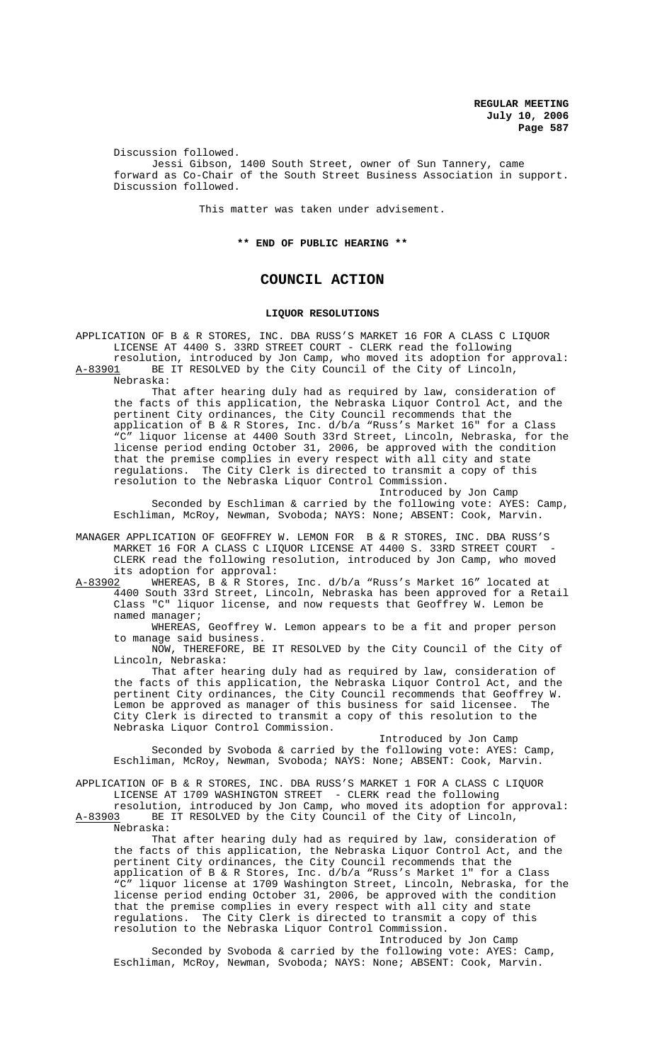Discussion followed. Jessi Gibson, 1400 South Street, owner of Sun Tannery, came forward as Co-Chair of the South Street Business Association in support. Discussion followed.

This matter was taken under advisement.

**\*\* END OF PUBLIC HEARING \*\***

# **COUNCIL ACTION**

### **LIQUOR RESOLUTIONS**

APPLICATION OF B & R STORES, INC. DBA RUSS'S MARKET 16 FOR A CLASS C LIQUOR LICENSE AT 4400 S. 33RD STREET COURT - CLERK read the following resolution, introduced by Jon Camp, who moved its adoption for approval: A-83901 BE IT RESOLVED by the City Council of the City of Lincoln, Nebraska:

That after hearing duly had as required by law, consideration of the facts of this application, the Nebraska Liquor Control Act, and the pertinent City ordinances, the City Council recommends that the application of B & R Stores, Inc. d/b/a "Russ's Market 16" for a Class "C" liquor license at 4400 South 33rd Street, Lincoln, Nebraska, for the license period ending October 31, 2006, be approved with the condition that the premise complies in every respect with all city and state regulations. The City Clerk is directed to transmit a copy of this resolution to the Nebraska Liquor Control Commission.

Introduced by Jon Camp

Seconded by Eschliman & carried by the following vote: AYES: Camp, Eschliman, McRoy, Newman, Svoboda; NAYS: None; ABSENT: Cook, Marvin.

MANAGER APPLICATION OF GEOFFREY W. LEMON FOR B & R STORES, INC. DBA RUSS'S MARKET 16 FOR A CLASS C LIQUOR LICENSE AT 4400 S. 33RD STREET COURT - CLERK read the following resolution, introduced by Jon Camp, who moved its adoption for approval:<br>A-83902 WHEREAS, B & R Store;

WHEREAS, B & R Stores, Inc. d/b/a "Russ's Market 16" located at 4400 South 33rd Street, Lincoln, Nebraska has been approved for a Retail Class "C" liquor license, and now requests that Geoffrey W. Lemon be named manager;

WHEREAS, Geoffrey W. Lemon appears to be a fit and proper person to manage said business.

NOW, THEREFORE, BE IT RESOLVED by the City Council of the City of Lincoln, Nebraska:

That after hearing duly had as required by law, consideration of the facts of this application, the Nebraska Liquor Control Act, and the pertinent City ordinances, the City Council recommends that Geoffrey W. Lemon be approved as manager of this business for said licensee. The City Clerk is directed to transmit a copy of this resolution to the Nebraska Liquor Control Commission.

Introduced by Jon Camp Seconded by Svoboda & carried by the following vote: AYES: Camp, Eschliman, McRoy, Newman, Svoboda; NAYS: None; ABSENT: Cook, Marvin.

APPLICATION OF B & R STORES, INC. DBA RUSS'S MARKET 1 FOR A CLASS C LIQUOR LICENSE AT 1709 WASHINGTON STREET - CLERK read the following

resolution, introduced by Jon Camp, who moved its adoption for approval:<br>A-83903 BE IT RESOLVED by the City Council of the City of Lincoln, BE IT RESOLVED by the City Council of the City of Lincoln, Nebraska:

That after hearing duly had as required by law, consideration of the facts of this application, the Nebraska Liquor Control Act, and the pertinent City ordinances, the City Council recommends that the application of B & R Stores, Inc. d/b/a "Russ's Market 1" for a Class "C" liquor license at 1709 Washington Street, Lincoln, Nebraska, for the license period ending October 31, 2006, be approved with the condition that the premise complies in every respect with all city and state regulations. The City Clerk is directed to transmit a copy of this resolution to the Nebraska Liquor Control Commission. Introduced by Jon Camp

Seconded by Svoboda & carried by the following vote: AYES: Camp, Eschliman, McRoy, Newman, Svoboda; NAYS: None; ABSENT: Cook, Marvin.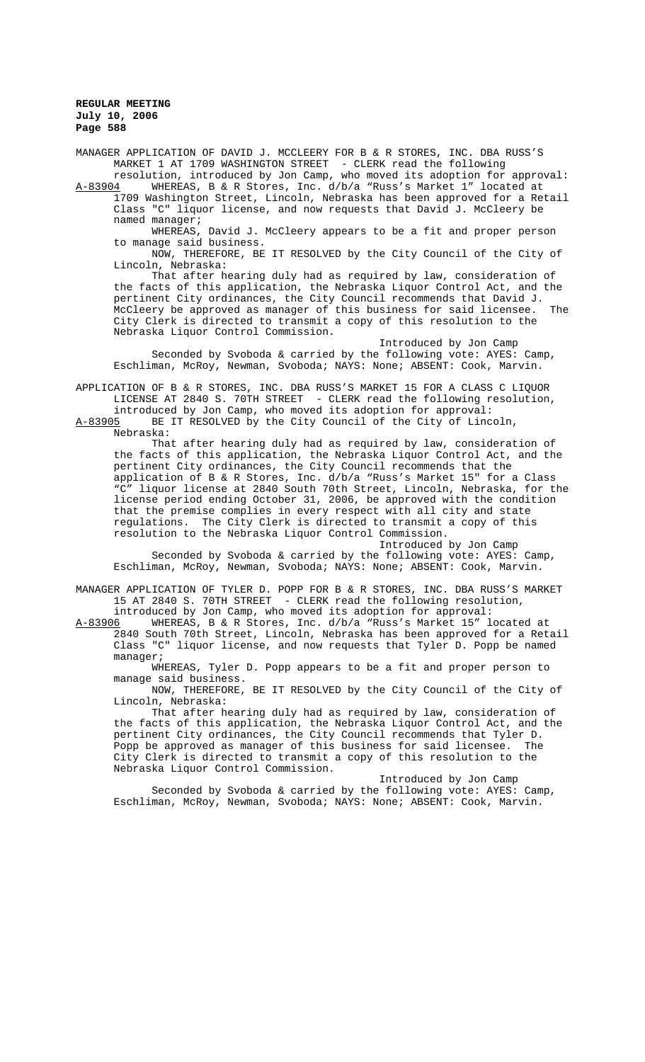MANAGER APPLICATION OF DAVID J. MCCLEERY FOR B & R STORES, INC. DBA RUSS'S MARKET 1 AT 1709 WASHINGTON STREET - CLERK read the following resolution, introduced by Jon Camp, who moved its adoption for approval: A-83904 WHEREAS, B & R Stores, Inc. d/b/a "Russ's Market 1" located at

1709 Washington Street, Lincoln, Nebraska has been approved for a Retail Class "C" liquor license, and now requests that David J. McCleery be named manager;

WHEREAS, David J. McCleery appears to be a fit and proper person to manage said business.

NOW, THEREFORE, BE IT RESOLVED by the City Council of the City of Lincoln, Nebraska:

That after hearing duly had as required by law, consideration of the facts of this application, the Nebraska Liquor Control Act, and the pertinent City ordinances, the City Council recommends that David J. McCleery be approved as manager of this business for said licensee. The City Clerk is directed to transmit a copy of this resolution to the Nebraska Liquor Control Commission.

Introduced by Jon Camp Seconded by Svoboda & carried by the following vote: AYES: Camp, Eschliman, McRoy, Newman, Svoboda; NAYS: None; ABSENT: Cook, Marvin.

APPLICATION OF B & R STORES, INC. DBA RUSS'S MARKET 15 FOR A CLASS C LIQUOR LICENSE AT 2840 S. 70TH STREET - CLERK read the following resolution, introduced by Jon Camp, who moved its adoption for approval:

A-83905 BE IT RESOLVED by the City Council of the City of Lincoln, Nebraska:

That after hearing duly had as required by law, consideration of the facts of this application, the Nebraska Liquor Control Act, and the pertinent City ordinances, the City Council recommends that the application of B & R Stores, Inc. d/b/a "Russ's Market 15" for a Class "C" liquor license at 2840 South 70th Street, Lincoln, Nebraska, for the license period ending October 31, 2006, be approved with the condition that the premise complies in every respect with all city and state regulations. The City Clerk is directed to transmit a copy of this resolution to the Nebraska Liquor Control Commission.

Introduced by Jon Camp Seconded by Svoboda & carried by the following vote: AYES: Camp, Eschliman, McRoy, Newman, Svoboda; NAYS: None; ABSENT: Cook, Marvin.

MANAGER APPLICATION OF TYLER D. POPP FOR B & R STORES, INC. DBA RUSS'S MARKET 15 AT 2840 S. 70TH STREET - CLERK read the following resolution,

introduced by Jon Camp, who moved its adoption for approval:<br>A-83906 WHEREAS, B & R Stores, Inc. d/b/a "Russ's Market 15" l WHEREAS, B & R Stores, Inc. d/b/a "Russ's Market 15" located at 2840 South 70th Street, Lincoln, Nebraska has been approved for a Retail Class "C" liquor license, and now requests that Tyler D. Popp be named manager;

WHEREAS, Tyler D. Popp appears to be a fit and proper person to manage said business.

NOW, THEREFORE, BE IT RESOLVED by the City Council of the City of Lincoln, Nebraska:

That after hearing duly had as required by law, consideration of the facts of this application, the Nebraska Liquor Control Act, and the pertinent City ordinances, the City Council recommends that Tyler D.<br>Popp be approved as manager of this business for said licensee. The Popp be approved as manager of this business for said licensee. City Clerk is directed to transmit a copy of this resolution to the Nebraska Liquor Control Commission.

Introduced by Jon Camp Seconded by Svoboda & carried by the following vote: AYES: Camp, Eschliman, McRoy, Newman, Svoboda; NAYS: None; ABSENT: Cook, Marvin.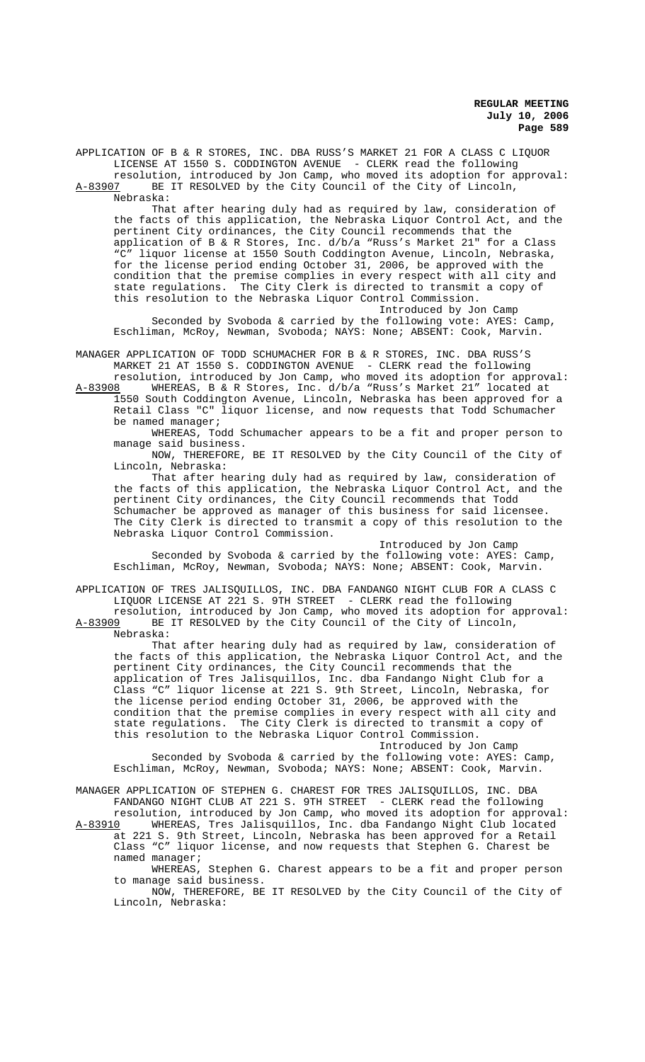APPLICATION OF B & R STORES, INC. DBA RUSS'S MARKET 21 FOR A CLASS C LIQUOR LICENSE AT 1550 S. CODDINGTON AVENUE - CLERK read the following

resolution, introduced by Jon Camp, who moved its adoption for approval:<br>A-83907 BE IT RESOLVED by the City Council of the City of Lincoln, BE IT RESOLVED by the City Council of the City of Lincoln, Nebraska:

That after hearing duly had as required by law, consideration of the facts of this application, the Nebraska Liquor Control Act, and the pertinent City ordinances, the City Council recommends that the application of B & R Stores, Inc. d/b/a "Russ's Market 21" for a Class "C" liquor license at 1550 South Coddington Avenue, Lincoln, Nebraska, for the license period ending October 31, 2006, be approved with the condition that the premise complies in every respect with all city and state regulations. The City Clerk is directed to transmit a copy of this resolution to the Nebraska Liquor Control Commission.

Introduced by Jon Camp Seconded by Svoboda & carried by the following vote: AYES: Camp, Eschliman, McRoy, Newman, Svoboda; NAYS: None; ABSENT: Cook, Marvin.

MANAGER APPLICATION OF TODD SCHUMACHER FOR B & R STORES, INC. DBA RUSS'S MARKET 21 AT 1550 S. CODDINGTON AVENUE - CLERK read the following

resolution, introduced by Jon Camp, who moved its adoption for approval: A-83908 WHEREAS, B & R Stores, Inc. d/b/a "Russ's Market 21" located at 1550 South Coddington Avenue, Lincoln, Nebraska has been approved for a Retail Class "C" liquor license, and now requests that Todd Schumacher

be named manager;

WHEREAS, Todd Schumacher appears to be a fit and proper person to manage said business.

NOW, THEREFORE, BE IT RESOLVED by the City Council of the City of Lincoln, Nebraska:

That after hearing duly had as required by law, consideration of the facts of this application, the Nebraska Liquor Control Act, and the pertinent City ordinances, the City Council recommends that Todd Schumacher be approved as manager of this business for said licensee. The City Clerk is directed to transmit a copy of this resolution to the Nebraska Liquor Control Commission.

Introduced by Jon Camp Seconded by Svoboda & carried by the following vote: AYES: Camp, Eschliman, McRoy, Newman, Svoboda; NAYS: None; ABSENT: Cook, Marvin.

APPLICATION OF TRES JALISQUILLOS, INC. DBA FANDANGO NIGHT CLUB FOR A CLASS C LIQUOR LICENSE AT 221 S. 9TH STREET - CLERK read the following

resolution, introduced by Jon Camp, who moved its adoption for approval:<br>A-83909 BE IT RESOLVED by the City Council of the City of Lincoln, BE IT RESOLVED by the City Council of the City of Lincoln, Nebraska:

That after hearing duly had as required by law, consideration of the facts of this application, the Nebraska Liquor Control Act, and the pertinent City ordinances, the City Council recommends that the application of Tres Jalisquillos, Inc. dba Fandango Night Club for a Class "C" liquor license at 221 S. 9th Street, Lincoln, Nebraska, for the license period ending October 31, 2006, be approved with the condition that the premise complies in every respect with all city and state regulations. The City Clerk is directed to transmit a copy of this resolution to the Nebraska Liquor Control Commission. Introduced by Jon Camp

Seconded by Svoboda & carried by the following vote: AYES: Camp, Eschliman, McRoy, Newman, Svoboda; NAYS: None; ABSENT: Cook, Marvin.

MANAGER APPLICATION OF STEPHEN G. CHAREST FOR TRES JALISQUILLOS, INC. DBA FANDANGO NIGHT CLUB AT 221 S. 9TH STREET - CLERK read the following resolution, introduced by Jon Camp, who moved its adoption for approval:

A-83910 WHEREAS, Tres Jalisquillos, Inc. dba Fandango Night Club located at 221 S. 9th Street, Lincoln, Nebraska has been approved for a Retail Class "C" liquor license, and now requests that Stephen G. Charest be named manager;

WHEREAS, Stephen G. Charest appears to be a fit and proper person to manage said business.

NOW, THEREFORE, BE IT RESOLVED by the City Council of the City of Lincoln, Nebraska: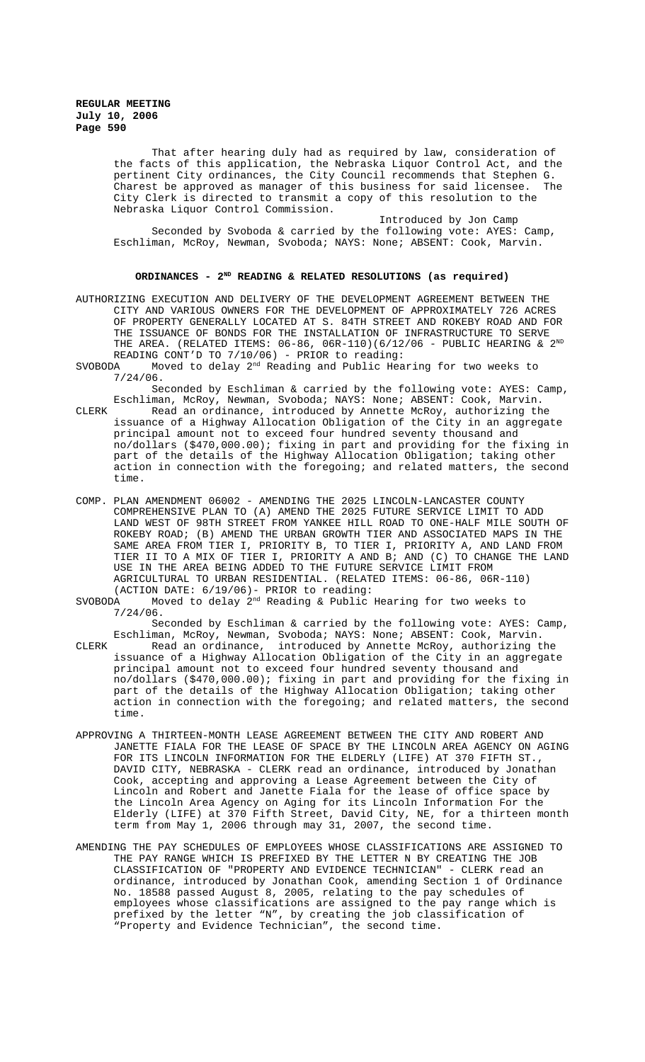> That after hearing duly had as required by law, consideration of the facts of this application, the Nebraska Liquor Control Act, and the pertinent City ordinances, the City Council recommends that Stephen G. Charest be approved as manager of this business for said licensee. The City Clerk is directed to transmit a copy of this resolution to the Nebraska Liquor Control Commission.

Introduced by Jon Camp Seconded by Svoboda & carried by the following vote: AYES: Camp, Eschliman, McRoy, Newman, Svoboda; NAYS: None; ABSENT: Cook, Marvin.

#### **ORDINANCES - 2ND READING & RELATED RESOLUTIONS (as required)**

AUTHORIZING EXECUTION AND DELIVERY OF THE DEVELOPMENT AGREEMENT BETWEEN THE CITY AND VARIOUS OWNERS FOR THE DEVELOPMENT OF APPROXIMATELY 726 ACRES OF PROPERTY GENERALLY LOCATED AT S. 84TH STREET AND ROKEBY ROAD AND FOR THE ISSUANCE OF BONDS FOR THE INSTALLATION OF INFRASTRUCTURE TO SERVE THE AREA. (RELATED ITEMS:  $06-86$ ,  $06R-110$ )( $6/12/06$  - PUBLIC HEARING &  $2^{ND}$ READING CONT'D TO 7/10/06) - PRIOR to reading:

SVOBODA Moved to delay 2nd Reading and Public Hearing for two weeks to 7/24/06.

Seconded by Eschliman & carried by the following vote: AYES: Camp, Eschliman, McRoy, Newman, Svoboda; NAYS: None; ABSENT: Cook, Marvin.

CLERK Read an ordinance, introduced by Annette McRoy, authorizing the issuance of a Highway Allocation Obligation of the City in an aggregate principal amount not to exceed four hundred seventy thousand and no/dollars (\$470,000.00); fixing in part and providing for the fixing in part of the details of the Highway Allocation Obligation; taking other action in connection with the foregoing; and related matters, the second time.

COMP. PLAN AMENDMENT 06002 - AMENDING THE 2025 LINCOLN-LANCASTER COUNTY COMPREHENSIVE PLAN TO (A) AMEND THE 2025 FUTURE SERVICE LIMIT TO ADD LAND WEST OF 98TH STREET FROM YANKEE HILL ROAD TO ONE-HALF MILE SOUTH OF ROKEBY ROAD; (B) AMEND THE URBAN GROWTH TIER AND ASSOCIATED MAPS IN THE SAME AREA FROM TIER I, PRIORITY B, TO TIER I, PRIORITY A, AND LAND FROM TIER II TO A MIX OF TIER I, PRIORITY A AND B; AND (C) TO CHANGE THE LAND USE IN THE AREA BEING ADDED TO THE FUTURE SERVICE LIMIT FROM AGRICULTURAL TO URBAN RESIDENTIAL. (RELATED ITEMS: 06-86, 06R-110) (ACTION DATE:  $6/19/06$ ) - PRIOR to reading:<br>SVOBODA Moved to delay  $2<sup>nd</sup>$  Reading & Public

Moved to delay  $2^{nd}$  Reading & Public Hearing for two weeks to 7/24/06.

Seconded by Eschliman & carried by the following vote: AYES: Camp, Eschliman, McRoy, Newman, Svoboda; NAYS: None; ABSENT: Cook, Marvin. CLERK Read an ordinance, introduced by Annette McRoy, authorizing the

issuance of a Highway Allocation Obligation of the City in an aggregate principal amount not to exceed four hundred seventy thousand and no/dollars (\$470,000.00); fixing in part and providing for the fixing in part of the details of the Highway Allocation Obligation; taking other action in connection with the foregoing; and related matters, the second time.

- APPROVING A THIRTEEN-MONTH LEASE AGREEMENT BETWEEN THE CITY AND ROBERT AND JANETTE FIALA FOR THE LEASE OF SPACE BY THE LINCOLN AREA AGENCY ON AGING FOR ITS LINCOLN INFORMATION FOR THE ELDERLY (LIFE) AT 370 FIFTH ST., DAVID CITY, NEBRASKA - CLERK read an ordinance, introduced by Jonathan Cook, accepting and approving a Lease Agreement between the City of Lincoln and Robert and Janette Fiala for the lease of office space by the Lincoln Area Agency on Aging for its Lincoln Information For the Elderly (LIFE) at 370 Fifth Street, David City, NE, for a thirteen month term from May 1, 2006 through may 31, 2007, the second time.
- AMENDING THE PAY SCHEDULES OF EMPLOYEES WHOSE CLASSIFICATIONS ARE ASSIGNED TO THE PAY RANGE WHICH IS PREFIXED BY THE LETTER N BY CREATING THE JOB CLASSIFICATION OF "PROPERTY AND EVIDENCE TECHNICIAN" - CLERK read an ordinance, introduced by Jonathan Cook, amending Section 1 of Ordinance No. 18588 passed August 8, 2005, relating to the pay schedules of employees whose classifications are assigned to the pay range which is prefixed by the letter "N", by creating the job classification of "Property and Evidence Technician", the second time.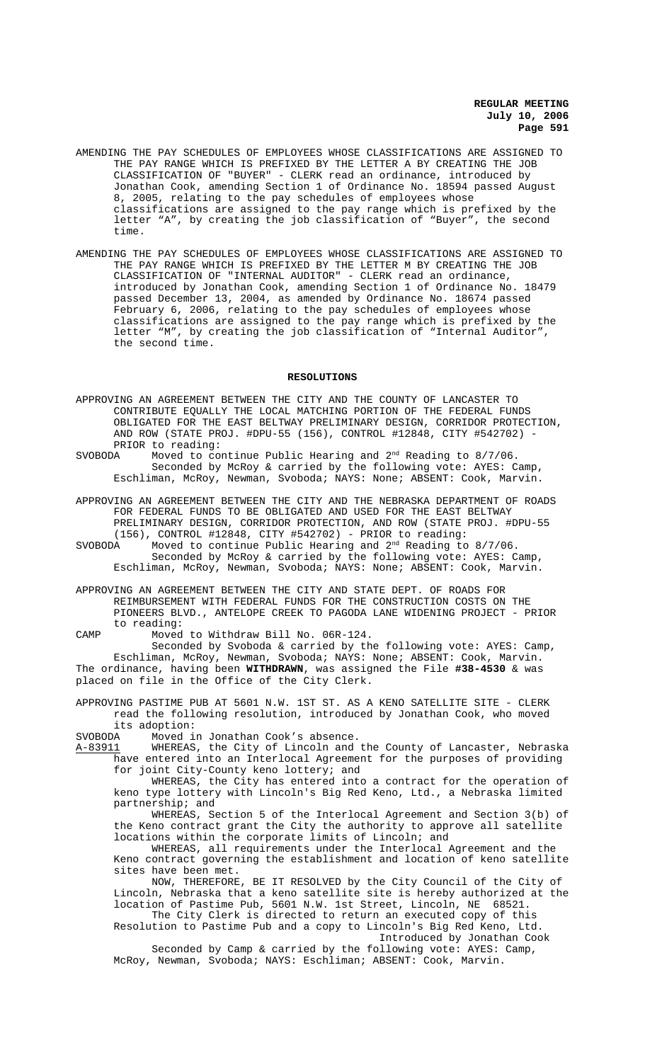- AMENDING THE PAY SCHEDULES OF EMPLOYEES WHOSE CLASSIFICATIONS ARE ASSIGNED TO THE PAY RANGE WHICH IS PREFIXED BY THE LETTER A BY CREATING THE JOB CLASSIFICATION OF "BUYER" - CLERK read an ordinance, introduced by Jonathan Cook, amending Section 1 of Ordinance No. 18594 passed August 8, 2005, relating to the pay schedules of employees whose classifications are assigned to the pay range which is prefixed by the letter "A", by creating the job classification of "Buyer", the second time.
- AMENDING THE PAY SCHEDULES OF EMPLOYEES WHOSE CLASSIFICATIONS ARE ASSIGNED TO THE PAY RANGE WHICH IS PREFIXED BY THE LETTER M BY CREATING THE JOB CLASSIFICATION OF "INTERNAL AUDITOR" - CLERK read an ordinance, introduced by Jonathan Cook, amending Section 1 of Ordinance No. 18479 passed December 13, 2004, as amended by Ordinance No. 18674 passed February 6, 2006, relating to the pay schedules of employees whose classifications are assigned to the pay range which is prefixed by the letter "M", by creating the job classification of "Internal Auditor", the second time.

#### **RESOLUTIONS**

- APPROVING AN AGREEMENT BETWEEN THE CITY AND THE COUNTY OF LANCASTER TO CONTRIBUTE EQUALLY THE LOCAL MATCHING PORTION OF THE FEDERAL FUNDS OBLIGATED FOR THE EAST BELTWAY PRELIMINARY DESIGN, CORRIDOR PROTECTION, AND ROW (STATE PROJ. #DPU-55 (156), CONTROL #12848, CITY #542702) -
- PRIOR to reading:<br>SVOBODA Moved to com Moved to continue Public Hearing and  $2<sup>nd</sup>$  Reading to 8/7/06. Seconded by McRoy & carried by the following vote: AYES: Camp, Eschliman, McRoy, Newman, Svoboda; NAYS: None; ABSENT: Cook, Marvin.
- APPROVING AN AGREEMENT BETWEEN THE CITY AND THE NEBRASKA DEPARTMENT OF ROADS FOR FEDERAL FUNDS TO BE OBLIGATED AND USED FOR THE EAST BELTWAY PRELIMINARY DESIGN, CORRIDOR PROTECTION, AND ROW (STATE PROJ. #DPU-55
- (156), CONTROL #12848, CITY #542702) PRIOR to reading:<br>SVOBODA Moved to continue Public Hearing and 2<sup>nd</sup> Reading to Moved to continue Public Hearing and  $2<sup>nd</sup>$  Reading to 8/7/06. Seconded by McRoy & carried by the following vote: AYES: Camp, Eschliman, McRoy, Newman, Svoboda; NAYS: None; ABSENT: Cook, Marvin.
- APPROVING AN AGREEMENT BETWEEN THE CITY AND STATE DEPT. OF ROADS FOR REIMBURSEMENT WITH FEDERAL FUNDS FOR THE CONSTRUCTION COSTS ON THE PIONEERS BLVD., ANTELOPE CREEK TO PAGODA LANE WIDENING PROJECT - PRIOR to reading:

CAMP Moved to Withdraw Bill No. 06R-124.

Seconded by Svoboda & carried by the following vote: AYES: Camp, Eschliman, McRoy, Newman, Svoboda; NAYS: None; ABSENT: Cook, Marvin. The ordinance, having been **WITHDRAWN**, was assigned the File **#38-4530** & was placed on file in the Office of the City Clerk.

APPROVING PASTIME PUB AT 5601 N.W. 1ST ST. AS A KENO SATELLITE SITE - CLERK read the following resolution, introduced by Jonathan Cook, who moved its adoption:<br>SVOBODA Moved i

Moved in Jonathan Cook's absence.

A-83911 WHEREAS, the City of Lincoln and the County of Lancaster, Nebraska have entered into an Interlocal Agreement for the purposes of providing for joint City-County keno lottery; and

WHEREAS, the City has entered into a contract for the operation of keno type lottery with Lincoln's Big Red Keno, Ltd., a Nebraska limited partnership; and

WHEREAS, Section 5 of the Interlocal Agreement and Section 3(b) of the Keno contract grant the City the authority to approve all satellite locations within the corporate limits of Lincoln; and

WHEREAS, all requirements under the Interlocal Agreement and the Keno contract governing the establishment and location of keno satellite sites have been met.

NOW, THEREFORE, BE IT RESOLVED by the City Council of the City of Lincoln, Nebraska that a keno satellite site is hereby authorized at the location of Pastime Pub, 5601 N.W. 1st Street, Lincoln, NE 68521.

The City Clerk is directed to return an executed copy of this Resolution to Pastime Pub and a copy to Lincoln's Big Red Keno, Ltd.

Introduced by Jonathan Cook Seconded by Camp & carried by the following vote: AYES: Camp,

McRoy, Newman, Svoboda; NAYS: Eschliman; ABSENT: Cook, Marvin.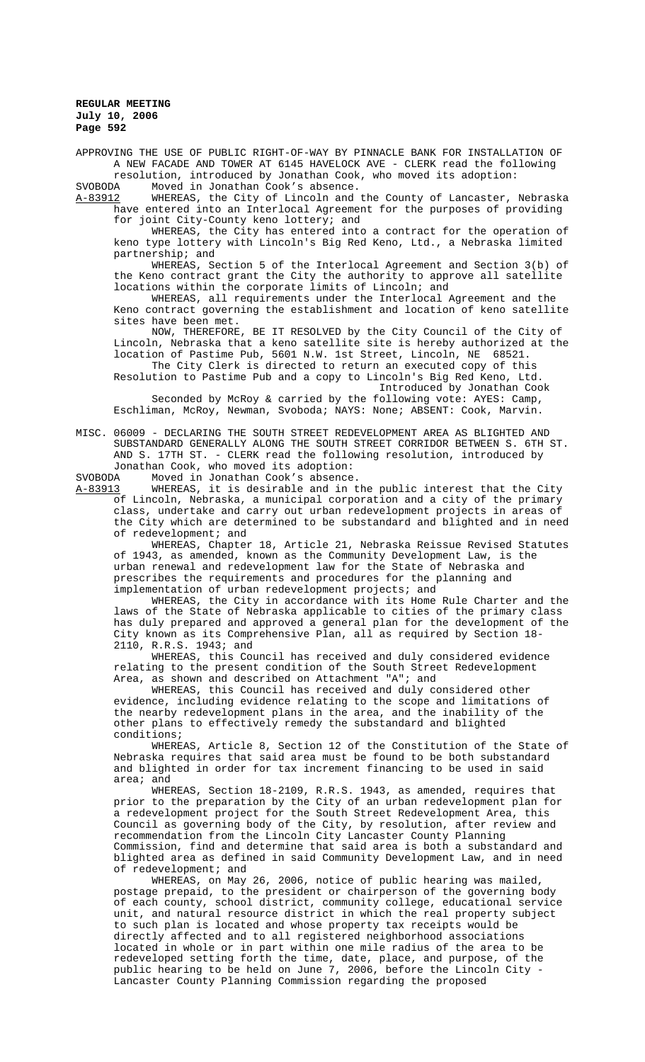APPROVING THE USE OF PUBLIC RIGHT-OF-WAY BY PINNACLE BANK FOR INSTALLATION OF A NEW FACADE AND TOWER AT 6145 HAVELOCK AVE - CLERK read the following resolution, introduced by Jonathan Cook, who moved its adoption:

SVOBODA Moved in Jonathan Cook's absence.<br>A-83912 WHEREAS, the City of Lincoln and

WHEREAS, the City of Lincoln and the County of Lancaster, Nebraska have entered into an Interlocal Agreement for the purposes of providing for joint City-County keno lottery; and

WHEREAS, the City has entered into a contract for the operation of keno type lottery with Lincoln's Big Red Keno, Ltd., a Nebraska limited partnership; and

WHEREAS, Section 5 of the Interlocal Agreement and Section 3(b) of the Keno contract grant the City the authority to approve all satellite locations within the corporate limits of Lincoln; and

WHEREAS, all requirements under the Interlocal Agreement and the Keno contract governing the establishment and location of keno satellite sites have been met.

NOW, THEREFORE, BE IT RESOLVED by the City Council of the City of Lincoln, Nebraska that a keno satellite site is hereby authorized at the location of Pastime Pub, 5601 N.W. 1st Street, Lincoln, NE 68521.

The City Clerk is directed to return an executed copy of this Resolution to Pastime Pub and a copy to Lincoln's Big Red Keno, Ltd. Introduced by Jonathan Cook

Seconded by McRoy & carried by the following vote: AYES: Camp, Eschliman, McRoy, Newman, Svoboda; NAYS: None; ABSENT: Cook, Marvin.

MISC. 06009 - DECLARING THE SOUTH STREET REDEVELOPMENT AREA AS BLIGHTED AND SUBSTANDARD GENERALLY ALONG THE SOUTH STREET CORRIDOR BETWEEN S. 6TH ST. AND S. 17TH ST. - CLERK read the following resolution, introduced by Jonathan Cook, who moved its adoption:<br>SVOBODA Moved in Jonathan Cook's absence

SVOBODA Moved in Jonathan Cook's absence.

WHEREAS, it is desirable and in the public interest that the City of Lincoln, Nebraska, a municipal corporation and a city of the primary class, undertake and carry out urban redevelopment projects in areas of the City which are determined to be substandard and blighted and in need of redevelopment; and

WHEREAS, Chapter 18, Article 21, Nebraska Reissue Revised Statutes of 1943, as amended, known as the Community Development Law, is the urban renewal and redevelopment law for the State of Nebraska and prescribes the requirements and procedures for the planning and implementation of urban redevelopment projects; and

WHEREAS, the City in accordance with its Home Rule Charter and the laws of the State of Nebraska applicable to cities of the primary class has duly prepared and approved a general plan for the development of the City known as its Comprehensive Plan, all as required by Section 18- 2110, R.R.S. 1943; and

WHEREAS, this Council has received and duly considered evidence relating to the present condition of the South Street Redevelopment Area, as shown and described on Attachment "A"; and

WHEREAS, this Council has received and duly considered other evidence, including evidence relating to the scope and limitations of the nearby redevelopment plans in the area, and the inability of the other plans to effectively remedy the substandard and blighted conditions;

WHEREAS, Article 8, Section 12 of the Constitution of the State of Nebraska requires that said area must be found to be both substandard and blighted in order for tax increment financing to be used in said area; and

WHEREAS, Section 18-2109, R.R.S. 1943, as amended, requires that prior to the preparation by the City of an urban redevelopment plan for a redevelopment project for the South Street Redevelopment Area, this Council as governing body of the City, by resolution, after review and recommendation from the Lincoln City Lancaster County Planning Commission, find and determine that said area is both a substandard and blighted area as defined in said Community Development Law, and in need of redevelopment; and

WHEREAS, on May 26, 2006, notice of public hearing was mailed, postage prepaid, to the president or chairperson of the governing body of each county, school district, community college, educational service unit, and natural resource district in which the real property subject to such plan is located and whose property tax receipts would be directly affected and to all registered neighborhood associations located in whole or in part within one mile radius of the area to be redeveloped setting forth the time, date, place, and purpose, of the public hearing to be held on June 7, 2006, before the Lincoln City - Lancaster County Planning Commission regarding the proposed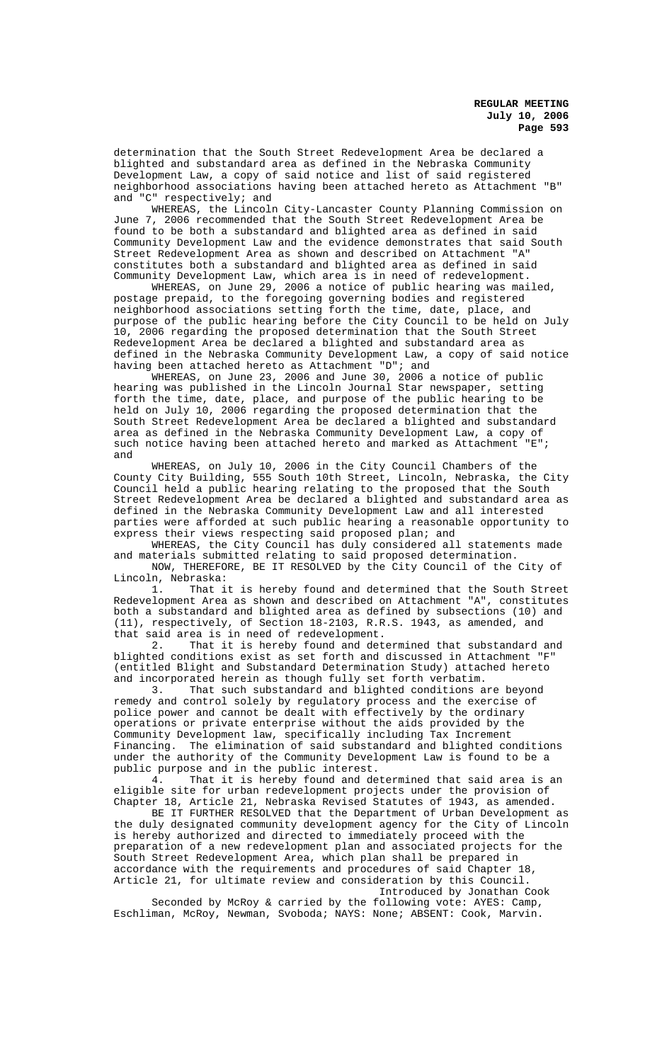determination that the South Street Redevelopment Area be declared a blighted and substandard area as defined in the Nebraska Community Development Law, a copy of said notice and list of said registered neighborhood associations having been attached hereto as Attachment "B" and "C" respectively; and

WHEREAS, the Lincoln City-Lancaster County Planning Commission on June 7, 2006 recommended that the South Street Redevelopment Area be found to be both a substandard and blighted area as defined in said Community Development Law and the evidence demonstrates that said South Street Redevelopment Area as shown and described on Attachment "A" constitutes both a substandard and blighted area as defined in said Community Development Law, which area is in need of redevelopment.

WHEREAS, on June 29, 2006 a notice of public hearing was mailed, postage prepaid, to the foregoing governing bodies and registered neighborhood associations setting forth the time, date, place, and purpose of the public hearing before the City Council to be held on July 10, 2006 regarding the proposed determination that the South Street Redevelopment Area be declared a blighted and substandard area as defined in the Nebraska Community Development Law, a copy of said notice having been attached hereto as Attachment "D"; and

WHEREAS, on June 23, 2006 and June 30, 2006 a notice of public hearing was published in the Lincoln Journal Star newspaper, setting forth the time, date, place, and purpose of the public hearing to be held on July 10, 2006 regarding the proposed determination that the South Street Redevelopment Area be declared a blighted and substandard area as defined in the Nebraska Community Development Law, a copy of such notice having been attached hereto and marked as Attachment "E"; and

WHEREAS, on July 10, 2006 in the City Council Chambers of the County City Building, 555 South 10th Street, Lincoln, Nebraska, the City Council held a public hearing relating to the proposed that the South Street Redevelopment Area be declared a blighted and substandard area as defined in the Nebraska Community Development Law and all interested parties were afforded at such public hearing a reasonable opportunity to express their views respecting said proposed plan; and

WHEREAS, the City Council has duly considered all statements made and materials submitted relating to said proposed determination. NOW, THEREFORE, BE IT RESOLVED by the City Council of the City of

Lincoln, Nebraska:<br>1. That i

That it is hereby found and determined that the South Street Redevelopment Area as shown and described on Attachment "A", constitutes both a substandard and blighted area as defined by subsections (10) and (11), respectively, of Section 18-2103, R.R.S. 1943, as amended, and that said area is in need of redevelopment.

2. That it is hereby found and determined that substandard and blighted conditions exist as set forth and discussed in Attachment "F" (entitled Blight and Substandard Determination Study) attached hereto and incorporated herein as though fully set forth verbatim.

3. That such substandard and blighted conditions are beyond remedy and control solely by regulatory process and the exercise of police power and cannot be dealt with effectively by the ordinary operations or private enterprise without the aids provided by the Community Development law, specifically including Tax Increment Financing. The elimination of said substandard and blighted conditions under the authority of the Community Development Law is found to be a public purpose and in the public interest.<br>4. That it is hereby found and de

That it is hereby found and determined that said area is an eligible site for urban redevelopment projects under the provision of Chapter 18, Article 21, Nebraska Revised Statutes of 1943, as amended.

BE IT FURTHER RESOLVED that the Department of Urban Development as the duly designated community development agency for the City of Lincoln is hereby authorized and directed to immediately proceed with the preparation of a new redevelopment plan and associated projects for the South Street Redevelopment Area, which plan shall be prepared in accordance with the requirements and procedures of said Chapter 18, Article 21, for ultimate review and consideration by this Council.

Introduced by Jonathan Cook Seconded by McRoy & carried by the following vote: AYES: Camp, Eschliman, McRoy, Newman, Svoboda; NAYS: None; ABSENT: Cook, Marvin.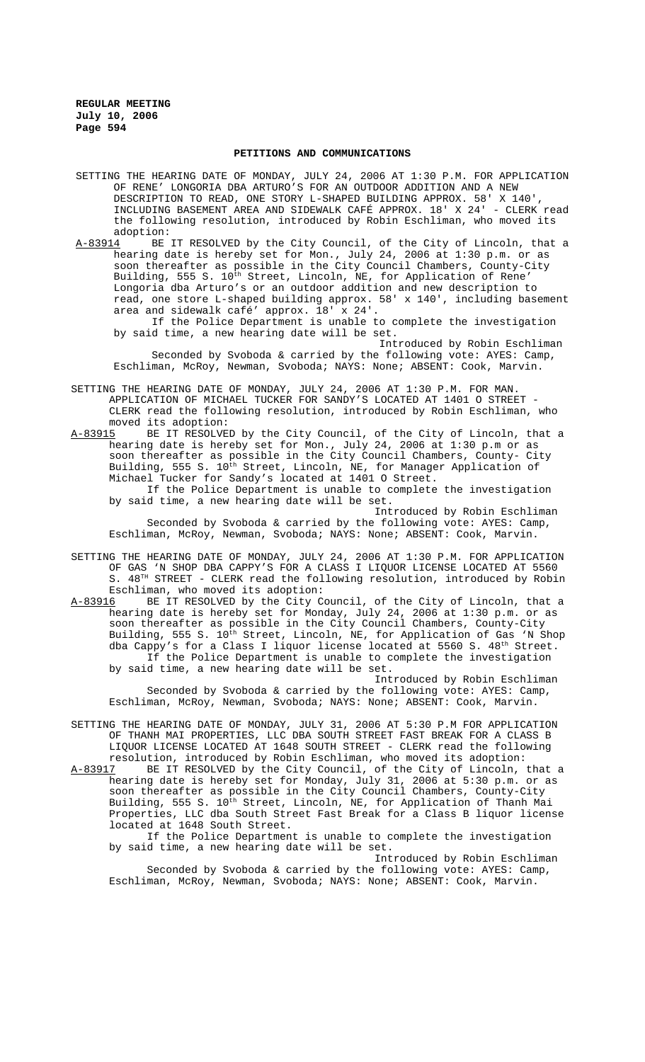#### **PETITIONS AND COMMUNICATIONS**

- SETTING THE HEARING DATE OF MONDAY, JULY 24, 2006 AT 1:30 P.M. FOR APPLICATION OF RENE' LONGORIA DBA ARTURO'S FOR AN OUTDOOR ADDITION AND A NEW DESCRIPTION TO READ, ONE STORY L-SHAPED BUILDING APPROX. 58' X 140 INCLUDING BASEMENT AREA AND SIDEWALK CAFÉ APPROX. 18' X 24' - CLERK read the following resolution, introduced by Robin Eschliman, who moved its
- adoption:<br>A-83914 BE A-83914 BE IT RESOLVED by the City Council, of the City of Lincoln, that a hearing date is hereby set for Mon., July 24, 2006 at 1:30 p.m. or as soon thereafter as possible in the City Council Chambers, County-City Building, 555 S. 10<sup>th</sup> Street, Lincoln, NE, for Application of Rene' Longoria dba Arturo's or an outdoor addition and new description to read, one store L-shaped building approx. 58' x 140', including basement area and sidewalk café' approx. 18' x 24'.

If the Police Department is unable to complete the investigation by said time, a new hearing date will be set.

Introduced by Robin Eschliman Seconded by Svoboda & carried by the following vote: AYES: Camp, Eschliman, McRoy, Newman, Svoboda; NAYS: None; ABSENT: Cook, Marvin.

SETTING THE HEARING DATE OF MONDAY, JULY 24, 2006 AT 1:30 P.M. FOR MAN. APPLICATION OF MICHAEL TUCKER FOR SANDY'S LOCATED AT 1401 O STREET - CLERK read the following resolution, introduced by Robin Eschliman, who moved its adoption:

A-83915 BE IT RESOLVED by the City Council, of the City of Lincoln, that a hearing date is hereby set for Mon., July 24, 2006 at 1:30 p.m or as soon thereafter as possible in the City Council Chambers, County- City Building, 555 S. 10<sup>th</sup> Street, Lincoln, NE, for Manager Application of Michael Tucker for Sandy's located at 1401 O Street. If the Police Department is unable to complete the investigation

by said time, a new hearing date will be set. Introduced by Robin Eschliman

Seconded by Svoboda & carried by the following vote: AYES: Camp, Eschliman, McRoy, Newman, Svoboda; NAYS: None; ABSENT: Cook, Marvin.

- SETTING THE HEARING DATE OF MONDAY, JULY 24, 2006 AT 1:30 P.M. FOR APPLICATION OF GAS 'N SHOP DBA CAPPY'S FOR A CLASS I LIQUOR LICENSE LOCATED AT 5560 S.  $48<sup>TH</sup>$  STREET - CLERK read the following resolution, introduced by Robin Eschliman, who moved its adoption:
- A-83916 BE IT RESOLVED by the City Council, of the City of Lincoln, that a hearing date is hereby set for Monday, July 24, 2006 at 1:30 p.m. or as soon thereafter as possible in the City Council Chambers, County-City Building, 555 S. 10<sup>th</sup> Street, Lincoln, NE, for Application of Gas 'N Shop dba Cappy's for a Class I liquor license located at 5560 S. 48<sup>th</sup> Street. If the Police Department is unable to complete the investigation by said time, a new hearing date will be set.

Introduced by Robin Eschliman Seconded by Svoboda & carried by the following vote: AYES: Camp, Eschliman, McRoy, Newman, Svoboda; NAYS: None; ABSENT: Cook, Marvin.

SETTING THE HEARING DATE OF MONDAY, JULY 31, 2006 AT 5:30 P.M FOR APPLICATION OF THANH MAI PROPERTIES, LLC DBA SOUTH STREET FAST BREAK FOR A CLASS B LIQUOR LICENSE LOCATED AT 1648 SOUTH STREET - CLERK read the following resolution, introduced by Robin Eschliman, who moved its adoption:

A-83917 BE IT RESOLVED by the City Council, of the City of Lincoln, that a hearing date is hereby set for Monday, July 31, 2006 at 5:30 p.m. or as soon thereafter as possible in the City Council Chambers, County-City Building, 555 S. 10<sup>th</sup> Street, Lincoln, NE, for Application of Thanh Mai Properties, LLC dba South Street Fast Break for a Class B liquor license located at 1648 South Street.

If the Police Department is unable to complete the investigation by said time, a new hearing date will be set.

Introduced by Robin Eschliman Seconded by Svoboda & carried by the following vote: AYES: Camp, Eschliman, McRoy, Newman, Svoboda; NAYS: None; ABSENT: Cook, Marvin.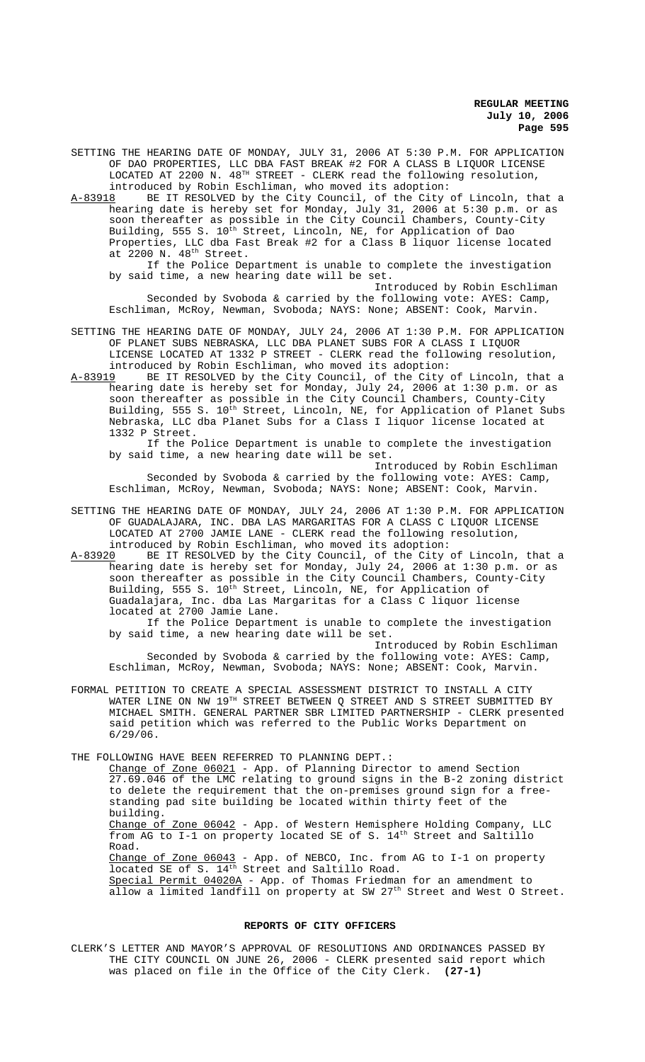SETTING THE HEARING DATE OF MONDAY, JULY 31, 2006 AT 5:30 P.M. FOR APPLICATION OF DAO PROPERTIES, LLC DBA FAST BREAK #2 FOR A CLASS B LIQUOR LICENSE LOCATED AT 2200 N.  $48^{TH}$  STREET - CLERK read the following resolution, introduced by Robin Eschliman, who moved its adoption:

A-83918 BE IT RESOLVED by the City Council, of the City of Lincoln, that a hearing date is hereby set for Monday, July 31, 2006 at 5:30 p.m. or as soon thereafter as possible in the City Council Chambers, County-City Building, 555 S.  $10^{\text{th}}$  Street, Lincoln, NE, for Application of Dao Properties, LLC dba Fast Break #2 for a Class B liquor license located at  $2200$  N.  $48<sup>th</sup>$  Street.

If the Police Department is unable to complete the investigation by said time, a new hearing date will be set.

Introduced by Robin Eschliman Seconded by Svoboda & carried by the following vote: AYES: Camp, Eschliman, McRoy, Newman, Svoboda; NAYS: None; ABSENT: Cook, Marvin.

- SETTING THE HEARING DATE OF MONDAY, JULY 24, 2006 AT 1:30 P.M. FOR APPLICATION OF PLANET SUBS NEBRASKA, LLC DBA PLANET SUBS FOR A CLASS I LIQUOR LICENSE LOCATED AT 1332 P STREET - CLERK read the following resolution, introduced by Robin Eschliman, who moved its adoption:
- A-83919 BE IT RESOLVED by the City Council, of the City of Lincoln, that a hearing date is hereby set for Monday, July 24, 2006 at 1:30 p.m. or as soon thereafter as possible in the City Council Chambers, County-City Building, 555 S. 10<sup>th</sup> Street, Lincoln, NE, for Application of Planet Subs Nebraska, LLC dba Planet Subs for a Class I liquor license located at 1332 P Street.

If the Police Department is unable to complete the investigation by said time, a new hearing date will be set.

Introduced by Robin Eschliman Seconded by Svoboda & carried by the following vote: AYES: Camp, Eschliman, McRoy, Newman, Svoboda; NAYS: None; ABSENT: Cook, Marvin.

SETTING THE HEARING DATE OF MONDAY, JULY 24, 2006 AT 1:30 P.M. FOR APPLICATION OF GUADALAJARA, INC. DBA LAS MARGARITAS FOR A CLASS C LIQUOR LICENSE LOCATED AT 2700 JAMIE LANE - CLERK read the following resolution, introduced by Robin Eschliman, who moved its adoption:<br>A-83920 BE IT RESOLVED by the City Council, of the City

BE IT RESOLVED by the City Council, of the City of Lincoln, that a hearing date is hereby set for Monday, July 24, 2006 at 1:30 p.m. or as soon thereafter as possible in the City Council Chambers, County-City Building, 555 S. 10<sup>th</sup> Street, Lincoln, NE, for Application of Guadalajara, Inc. dba Las Margaritas for a Class C liquor license located at 2700 Jamie Lane.

If the Police Department is unable to complete the investigation by said time, a new hearing date will be set.

Introduced by Robin Eschliman Seconded by Svoboda & carried by the following vote: AYES: Camp, Eschliman, McRoy, Newman, Svoboda; NAYS: None; ABSENT: Cook, Marvin.

FORMAL PETITION TO CREATE A SPECIAL ASSESSMENT DISTRICT TO INSTALL A CITY WATER LINE ON NW  $19^{\text{\tiny{TH}}}$  STREET BETWEEN Q STREET AND S STREET SUBMITTED BY MICHAEL SMITH. GENERAL PARTNER SBR LIMITED PARTNERSHIP - CLERK presented said petition which was referred to the Public Works Department on 6/29/06.

THE FOLLOWING HAVE BEEN REFERRED TO PLANNING DEPT.:

Change of Zone 06021 - App. of Planning Director to amend Section 27.69.046 of the LMC relating to ground signs in the B-2 zoning district to delete the requirement that the on-premises ground sign for a freestanding pad site building be located within thirty feet of the building.

Change of Zone 06042 - App. of Western Hemisphere Holding Company, LLC from AG to I-1 on property located SE of S. 14<sup>th</sup> Street and Saltillo Road.

Change of Zone 06043 - App. of NEBCO, Inc. from AG to I-1 on property located SE of S. 14<sup>th</sup> Street and Saltillo Road. Special Permit 04020A - App. of Thomas Friedman for an amendment to

allow a limited landfill on property at SW 27<sup>th</sup> Street and West O Street.

# **REPORTS OF CITY OFFICERS**

CLERK'S LETTER AND MAYOR'S APPROVAL OF RESOLUTIONS AND ORDINANCES PASSED BY THE CITY COUNCIL ON JUNE 26, 2006 - CLERK presented said report which was placed on file in the Office of the City Clerk. **(27-1)**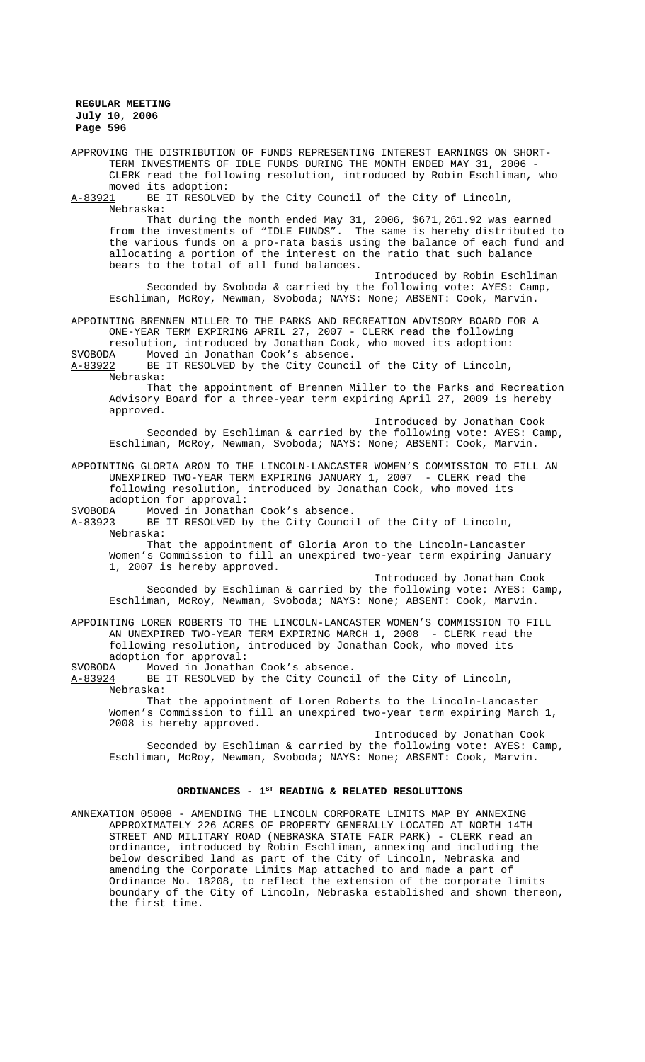APPROVING THE DISTRIBUTION OF FUNDS REPRESENTING INTEREST EARNINGS ON SHORT-TERM INVESTMENTS OF IDLE FUNDS DURING THE MONTH ENDED MAY 31, 2006 - CLERK read the following resolution, introduced by Robin Eschliman, who moved its adoption:<br>A-83921 BE IT RESOLVE BE IT RESOLVED by the City Council of the City of Lincoln, Nebraska: That during the month ended May 31, 2006, \$671,261.92 was earned from the investments of "IDLE FUNDS". The same is hereby distributed to the various funds on a pro-rata basis using the balance of each fund and allocating a portion of the interest on the ratio that such balance bears to the total of all fund balances. Introduced by Robin Eschliman Seconded by Svoboda & carried by the following vote: AYES: Camp, Eschliman, McRoy, Newman, Svoboda; NAYS: None; ABSENT: Cook, Marvin. APPOINTING BRENNEN MILLER TO THE PARKS AND RECREATION ADVISORY BOARD FOR A ONE-YEAR TERM EXPIRING APRIL 27, 2007 - CLERK read the following resolution, introduced by Jonathan Cook, who moved its adoption: Moved in Jonathan Cook's absence. A-83922 BE IT RESOLVED by the City Council of the City of Lincoln, Nebraska: That the appointment of Brennen Miller to the Parks and Recreation Advisory Board for a three-year term expiring April 27, 2009 is hereby approved. Introduced by Jonathan Cook Seconded by Eschliman & carried by the following vote: AYES: Camp, Eschliman, McRoy, Newman, Svoboda; NAYS: None; ABSENT: Cook, Marvin. APPOINTING GLORIA ARON TO THE LINCOLN-LANCASTER WOMEN'S COMMISSION TO FILL AN UNEXPIRED TWO-YEAR TERM EXPIRING JANUARY 1, 2007 - CLERK read the following resolution, introduced by Jonathan Cook, who moved its adoption for approval:<br>SVOBODA Moved in Jonathar Moved in Jonathan Cook's absence. A-83923 BE IT RESOLVED by the City Council of the City of Lincoln, Nebraska: That the appointment of Gloria Aron to the Lincoln-Lancaster Women's Commission to fill an unexpired two-year term expiring January 1, 2007 is hereby approved. Introduced by Jonathan Cook Seconded by Eschliman & carried by the following vote: AYES: Camp, Eschliman, McRoy, Newman, Svoboda; NAYS: None; ABSENT: Cook, Marvin. APPOINTING LOREN ROBERTS TO THE LINCOLN-LANCASTER WOMEN'S COMMISSION TO FILL AN UNEXPIRED TWO-YEAR TERM EXPIRING MARCH 1, 2008 - CLERK read the following resolution, introduced by Jonathan Cook, who moved its adoption for approval: SVOBODA Moved in Jonathan Cook's absence.<br>A-83924 BE IT RESOLVED by the City Counci BE IT RESOLVED by the City Council of the City of Lincoln, Nebraska: That the appointment of Loren Roberts to the Lincoln-Lancaster Women's Commission to fill an unexpired two-year term expiring March 1, 2008 is hereby approved. Introduced by Jonathan Cook Seconded by Eschliman & carried by the following vote: AYES: Camp, Eschliman, McRoy, Newman, Svoboda; NAYS: None; ABSENT: Cook, Marvin. ORDINANCES - 1<sup>st</sup> READING & RELATED RESOLUTIONS ANNEXATION 05008 - AMENDING THE LINCOLN CORPORATE LIMITS MAP BY ANNEXING APPROXIMATELY 226 ACRES OF PROPERTY GENERALLY LOCATED AT NORTH 14TH STREET AND MILITARY ROAD (NEBRASKA STATE FAIR PARK) - CLERK read an ordinance, introduced by Robin Eschliman, annexing and including the

below described land as part of the City of Lincoln, Nebraska and amending the Corporate Limits Map attached to and made a part of Ordinance No. 18208, to reflect the extension of the corporate limits boundary of the City of Lincoln, Nebraska established and shown thereon, the first time.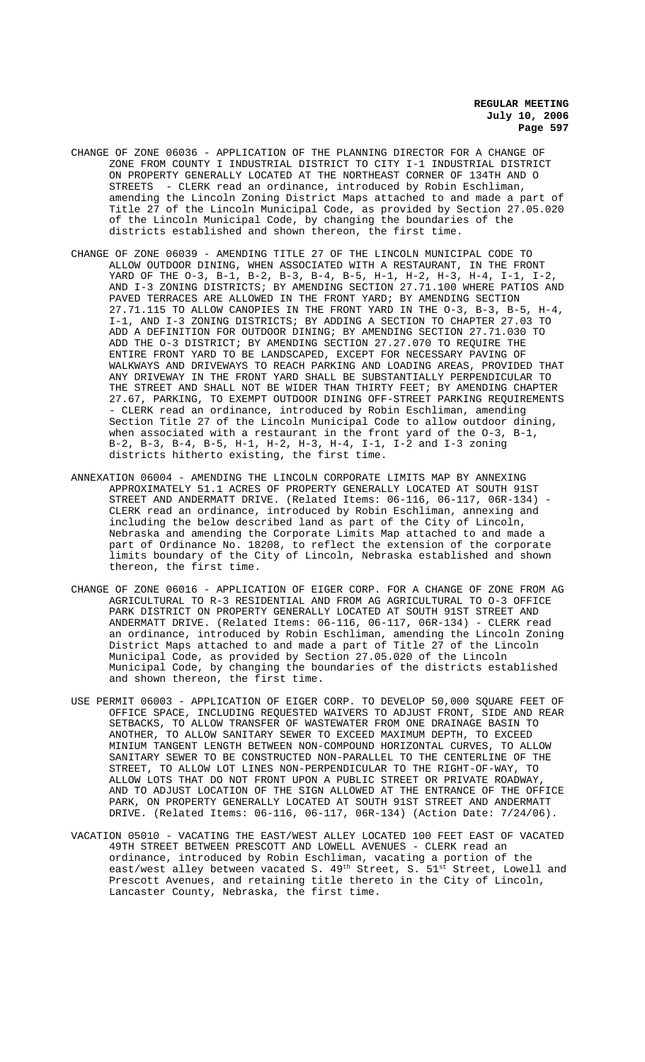- CHANGE OF ZONE 06036 APPLICATION OF THE PLANNING DIRECTOR FOR A CHANGE OF ZONE FROM COUNTY I INDUSTRIAL DISTRICT TO CITY I-1 INDUSTRIAL DISTRICT ON PROPERTY GENERALLY LOCATED AT THE NORTHEAST CORNER OF 134TH AND O STREETS - CLERK read an ordinance, introduced by Robin Eschliman, amending the Lincoln Zoning District Maps attached to and made a part of Title 27 of the Lincoln Municipal Code, as provided by Section 27.05.020 of the Lincoln Municipal Code, by changing the boundaries of the districts established and shown thereon, the first time.
- CHANGE OF ZONE 06039 AMENDING TITLE 27 OF THE LINCOLN MUNICIPAL CODE TO ALLOW OUTDOOR DINING, WHEN ASSOCIATED WITH A RESTAURANT, IN THE FRONT YARD OF THE O-3, B-1, B-2, B-3, B-4, B-5, H-1, H-2, H-3, H-4, I-1, I-2, AND I-3 ZONING DISTRICTS; BY AMENDING SECTION 27.71.100 WHERE PATIOS AND PAVED TERRACES ARE ALLOWED IN THE FRONT YARD; BY AMENDING SECTION 27.71.115 TO ALLOW CANOPIES IN THE FRONT YARD IN THE O-3, B-3, B-5, H-4, I-1, AND I-3 ZONING DISTRICTS; BY ADDING A SECTION TO CHAPTER 27.03 TO ADD A DEFINITION FOR OUTDOOR DINING; BY AMENDING SECTION 27.71.030 TO ADD THE O-3 DISTRICT; BY AMENDING SECTION 27.27.070 TO REQUIRE THE ENTIRE FRONT YARD TO BE LANDSCAPED, EXCEPT FOR NECESSARY PAVING OF WALKWAYS AND DRIVEWAYS TO REACH PARKING AND LOADING AREAS, PROVIDED THAT ANY DRIVEWAY IN THE FRONT YARD SHALL BE SUBSTANTIALLY PERPENDICULAR TO THE STREET AND SHALL NOT BE WIDER THAN THIRTY FEET; BY AMENDING CHAPTER 27.67, PARKING, TO EXEMPT OUTDOOR DINING OFF-STREET PARKING REQUIREMENTS - CLERK read an ordinance, introduced by Robin Eschliman, amending Section Title 27 of the Lincoln Municipal Code to allow outdoor dining, when associated with a restaurant in the front yard of the O-3, B-1, B-2, B-3, B-4, B-5, H-1, H-2, H-3, H-4, I-1, I-2 and I-3 zoning districts hitherto existing, the first time.
- ANNEXATION 06004 AMENDING THE LINCOLN CORPORATE LIMITS MAP BY ANNEXING APPROXIMATELY 51.1 ACRES OF PROPERTY GENERALLY LOCATED AT SOUTH 91ST STREET AND ANDERMATT DRIVE. (Related Items: 06-116, 06-117, 06R-134) - CLERK read an ordinance, introduced by Robin Eschliman, annexing and including the below described land as part of the City of Lincoln, Nebraska and amending the Corporate Limits Map attached to and made a part of Ordinance No. 18208, to reflect the extension of the corporate limits boundary of the City of Lincoln, Nebraska established and shown thereon, the first time.
- CHANGE OF ZONE 06016 APPLICATION OF EIGER CORP. FOR A CHANGE OF ZONE FROM AG AGRICULTURAL TO R-3 RESIDENTIAL AND FROM AG AGRICULTURAL TO O-3 OFFICE PARK DISTRICT ON PROPERTY GENERALLY LOCATED AT SOUTH 91ST STREET AND ANDERMATT DRIVE. (Related Items: 06-116, 06-117, 06R-134) - CLERK read an ordinance, introduced by Robin Eschliman, amending the Lincoln Zoning District Maps attached to and made a part of Title 27 of the Lincoln Municipal Code, as provided by Section 27.05.020 of the Lincoln Municipal Code, by changing the boundaries of the districts established and shown thereon, the first time.
- USE PERMIT 06003 APPLICATION OF EIGER CORP. TO DEVELOP 50,000 SQUARE FEET OF OFFICE SPACE, INCLUDING REQUESTED WAIVERS TO ADJUST FRONT, SIDE AND REAR SETBACKS, TO ALLOW TRANSFER OF WASTEWATER FROM ONE DRAINAGE BASIN TO ANOTHER, TO ALLOW SANITARY SEWER TO EXCEED MAXIMUM DEPTH, TO EXCEED MINIUM TANGENT LENGTH BETWEEN NON-COMPOUND HORIZONTAL CURVES, TO ALLOW SANITARY SEWER TO BE CONSTRUCTED NON-PARALLEL TO THE CENTERLINE OF THE STREET, TO ALLOW LOT LINES NON-PERPENDICULAR TO THE RIGHT-OF-WAY, TO ALLOW LOTS THAT DO NOT FRONT UPON A PUBLIC STREET OR PRIVATE ROADWAY, AND TO ADJUST LOCATION OF THE SIGN ALLOWED AT THE ENTRANCE OF THE OFFICE PARK, ON PROPERTY GENERALLY LOCATED AT SOUTH 91ST STREET AND ANDERMATT DRIVE. (Related Items: 06-116, 06-117, 06R-134) (Action Date: 7/24/06).
- VACATION 05010 VACATING THE EAST/WEST ALLEY LOCATED 100 FEET EAST OF VACATED 49TH STREET BETWEEN PRESCOTT AND LOWELL AVENUES - CLERK read an ordinance, introduced by Robin Eschliman, vacating a portion of the east/west alley between vacated S.  $49^{\text{th}}$  Street, S.  $51^{\text{st}}$  Street, Lowell and Prescott Avenues, and retaining title thereto in the City of Lincoln, Lancaster County, Nebraska, the first time.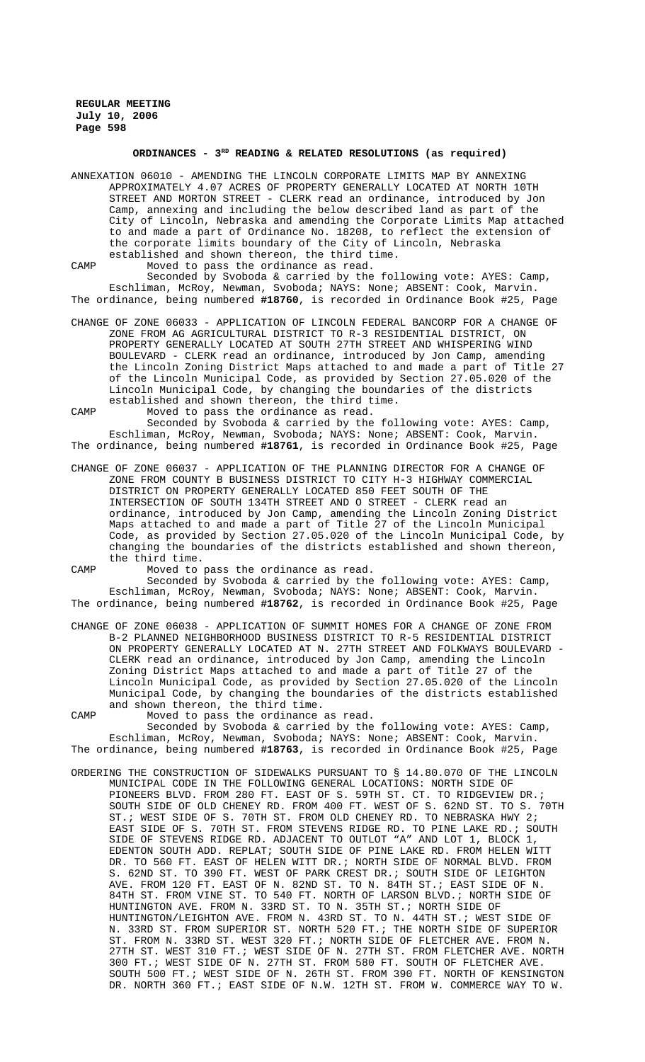# **ORDINANCES - 3RD READING & RELATED RESOLUTIONS (as required)**

ANNEXATION 06010 - AMENDING THE LINCOLN CORPORATE LIMITS MAP BY ANNEXING APPROXIMATELY 4.07 ACRES OF PROPERTY GENERALLY LOCATED AT NORTH 10TH STREET AND MORTON STREET - CLERK read an ordinance, introduced by Jon Camp, annexing and including the below described land as part of the City of Lincoln, Nebraska and amending the Corporate Limits Map attached to and made a part of Ordinance No. 18208, to reflect the extension of the corporate limits boundary of the City of Lincoln, Nebraska established and shown thereon, the third time.

CAMP Moved to pass the ordinance as read. Seconded by Svoboda & carried by the following vote: AYES: Camp, Eschliman, McRoy, Newman, Svoboda; NAYS: None; ABSENT: Cook, Marvin. The ordinance, being numbered **#18760**, is recorded in Ordinance Book #25, Page

CHANGE OF ZONE 06033 - APPLICATION OF LINCOLN FEDERAL BANCORP FOR A CHANGE OF ZONE FROM AG AGRICULTURAL DISTRICT TO R-3 RESIDENTIAL DISTRICT, ON PROPERTY GENERALLY LOCATED AT SOUTH 27TH STREET AND WHISPERING WIND BOULEVARD - CLERK read an ordinance, introduced by Jon Camp, amending the Lincoln Zoning District Maps attached to and made a part of Title 27 of the Lincoln Municipal Code, as provided by Section 27.05.020 of the Lincoln Municipal Code, by changing the boundaries of the districts established and shown thereon, the third time.

CAMP Moved to pass the ordinance as read.

Seconded by Svoboda & carried by the following vote: AYES: Camp, Eschliman, McRoy, Newman, Svoboda; NAYS: None; ABSENT: Cook, Marvin. The ordinance, being numbered **#18761**, is recorded in Ordinance Book #25, Page

CHANGE OF ZONE 06037 - APPLICATION OF THE PLANNING DIRECTOR FOR A CHANGE OF ZONE FROM COUNTY B BUSINESS DISTRICT TO CITY H-3 HIGHWAY COMMERCIAL DISTRICT ON PROPERTY GENERALLY LOCATED 850 FEET SOUTH OF THE INTERSECTION OF SOUTH 134TH STREET AND O STREET - CLERK read an ordinance, introduced by Jon Camp, amending the Lincoln Zoning District Maps attached to and made a part of Title 27 of the Lincoln Municipal Code, as provided by Section 27.05.020 of the Lincoln Municipal Code, by changing the boundaries of the districts established and shown thereon, the third time.

CAMP Moved to pass the ordinance as read.

Seconded by Svoboda & carried by the following vote: AYES: Camp, Eschliman, McRoy, Newman, Svoboda; NAYS: None; ABSENT: Cook, Marvin. The ordinance, being numbered **#18762**, is recorded in Ordinance Book #25, Page

CHANGE OF ZONE 06038 - APPLICATION OF SUMMIT HOMES FOR A CHANGE OF ZONE FROM B-2 PLANNED NEIGHBORHOOD BUSINESS DISTRICT TO R-5 RESIDENTIAL DISTRICT ON PROPERTY GENERALLY LOCATED AT N. 27TH STREET AND FOLKWAYS BOULEVARD - CLERK read an ordinance, introduced by Jon Camp, amending the Lincoln Zoning District Maps attached to and made a part of Title 27 of the Lincoln Municipal Code, as provided by Section 27.05.020 of the Lincoln Municipal Code, by changing the boundaries of the districts established and shown thereon, the third time.

CAMP Moved to pass the ordinance as read. Seconded by Svoboda & carried by the following vote: AYES: Camp, Eschliman, McRoy, Newman, Svoboda; NAYS: None; ABSENT: Cook, Marvin. The ordinance, being numbered **#18763**, is recorded in Ordinance Book #25, Page

ORDERING THE CONSTRUCTION OF SIDEWALKS PURSUANT TO § 14.80.070 OF THE LINCOLN MUNICIPAL CODE IN THE FOLLOWING GENERAL LOCATIONS: NORTH SIDE OF PIONEERS BLVD. FROM 280 FT. EAST OF S. 59TH ST. CT. TO RIDGEVIEW DR.; SOUTH SIDE OF OLD CHENEY RD. FROM 400 FT. WEST OF S. 62ND ST. TO S. 70TH ST.; WEST SIDE OF S. 70TH ST. FROM OLD CHENEY RD. TO NEBRASKA HWY 2; EAST SIDE OF S. 70TH ST. FROM STEVENS RIDGE RD. TO PINE LAKE RD.; SOUTH SIDE OF STEVENS RIDGE RD. ADJACENT TO OUTLOT "A" AND LOT 1, BLOCK 1, EDENTON SOUTH ADD. REPLAT; SOUTH SIDE OF PINE LAKE RD. FROM HELEN WITT DR. TO 560 FT. EAST OF HELEN WITT DR.; NORTH SIDE OF NORMAL BLVD. FROM S. 62ND ST. TO 390 FT. WEST OF PARK CREST DR.; SOUTH SIDE OF LEIGHTON AVE. FROM 120 FT. EAST OF N. 82ND ST. TO N. 84TH ST.; EAST SIDE OF N. 84TH ST. FROM VINE ST. TO 540 FT. NORTH OF LARSON BLVD.; NORTH SIDE OF HUNTINGTON AVE. FROM N. 33RD ST. TO N. 35TH ST.; NORTH SIDE OF HUNTINGTON/LEIGHTON AVE. FROM N. 43RD ST. TO N. 44TH ST.; WEST SIDE OF N. 33RD ST. FROM SUPERIOR ST. NORTH 520 FT.; THE NORTH SIDE OF SUPERIOR ST. FROM N. 33RD ST. WEST 320 FT.; NORTH SIDE OF FLETCHER AVE. FROM N. 27TH ST. WEST 310 FT.; WEST SIDE OF N. 27TH ST. FROM FLETCHER AVE. NORTH 300 FT.; WEST SIDE OF N. 27TH ST. FROM 580 FT. SOUTH OF FLETCHER AVE. SOUTH 500 FT.; WEST SIDE OF N. 26TH ST. FROM 390 FT. NORTH OF KENSINGTON DR. NORTH 360 FT.; EAST SIDE OF N.W. 12TH ST. FROM W. COMMERCE WAY TO W.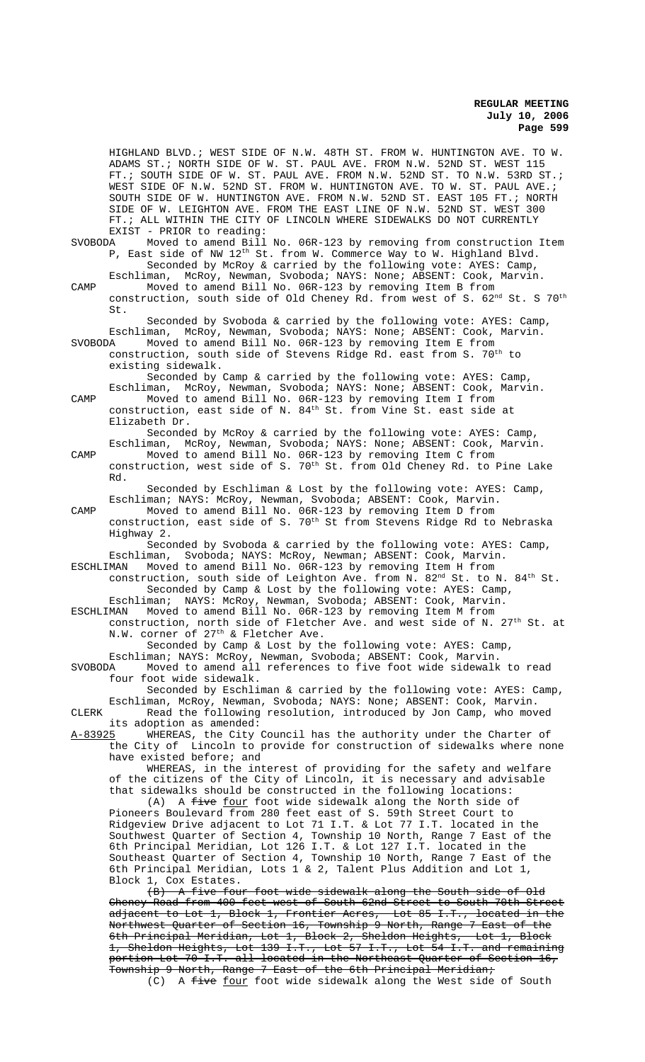HIGHLAND BLVD.; WEST SIDE OF N.W. 48TH ST. FROM W. HUNTINGTON AVE. TO W. ADAMS ST.; NORTH SIDE OF W. ST. PAUL AVE. FROM N.W. 52ND ST. WEST 115 FT.; SOUTH SIDE OF W. ST. PAUL AVE. FROM N.W. 52ND ST. TO N.W. 53RD ST.; WEST SIDE OF N.W. 52ND ST. FROM W. HUNTINGTON AVE. TO W. ST. PAUL AVE.; SOUTH SIDE OF W. HUNTINGTON AVE. FROM N.W. 52ND ST. EAST 105 FT.; NORTH SIDE OF W. LEIGHTON AVE. FROM THE EAST LINE OF N.W. 52ND ST. WEST 300 FT.; ALL WITHIN THE CITY OF LINCOLN WHERE SIDEWALKS DO NOT CURRENTLY EXIST - PRIOR to reading:<br>SVOBODA Moved to amend Bill Moved to amend Bill No. 06R-123 by removing from construction Item P, East side of NW 12th St. from W. Commerce Way to W. Highland Blvd. Seconded by McRoy & carried by the following vote: AYES: Camp, Eschliman, McRoy, Newman, Svoboda; NAYS: None; ABSENT: Cook, Marvin. CAMP Moved to amend Bill No. 06R-123 by removing Item B from construction, south side of Old Cheney Rd. from west of S. 62<sup>nd</sup> St. S 70<sup>th</sup> St. Seconded by Svoboda & carried by the following vote: AYES: Camp, Eschliman, McRoy, Newman, Svoboda; NAYS: None; ABSENT: Cook, Marvin.<br>SVOBODA Moved to amend Bill No. 06R-123 by removing Item E from Moved to amend Bill No. 06R-123 by removing Item E from construction, south side of Stevens Ridge Rd. east from S. 70<sup>th</sup> to existing sidewalk. Seconded by Camp & carried by the following vote: AYES: Camp, Eschliman, McRoy, Newman, Svoboda; NAYS: None; ABSENT: Cook, Marvin. CAMP Moved to amend Bill No. 06R-123 by removing Item I from construction, east side of N. 84th St. from Vine St. east side at Elizabeth Dr. Seconded by McRoy & carried by the following vote: AYES: Camp, Eschliman, McRoy, Newman, Svoboda; NAYS: None; ABSENT: Cook, Marvin. CAMP Moved to amend Bill No. 06R-123 by removing Item C from construction, west side of S. 70<sup>th</sup> St. from Old Cheney Rd. to Pine Lake Rd. Seconded by Eschliman & Lost by the following vote: AYES: Camp, Eschliman; NAYS: McRoy, Newman, Svoboda; ABSENT: Cook, Marvin. CAMP Moved to amend Bill No. 06R-123 by removing Item D from construction, east side of S.  $70^{\rm th}$  St from Stevens Ridge Rd to Nebraska Highway 2. Seconded by Svoboda & carried by the following vote: AYES: Camp, Eschliman, Svoboda; NAYS: McRoy, Newman; ABSENT: Cook, Marvin.<br>ESCHLIMAN Moved to amend Bill No. 06R-123 by removing Item H from ESCHLIMAN Moved to amend Bill No. 06R-123 by removing Item H from construction, south side of Leighton Ave. from N. 82<sup>nd</sup> St. to N. 84<sup>th</sup> St. Seconded by Camp & Lost by the following vote: AYES: Camp, Eschliman; NAYS: McRoy, Newman, Svoboda; ABSENT: Cook, Marvin. ESCHLIMAN Moved to amend Bill No. 06R-123 by removing Item M from construction, north side of Fletcher Ave. and west side of N. 27<sup>th</sup> St. at N.W. corner of 27<sup>th</sup> & Fletcher Ave. Seconded by Camp & Lost by the following vote: AYES: Camp, Eschliman; NAYS: McRoy, Newman, Svoboda; ABSENT: Cook, Marvin. SVOBODA Moved to amend all references to five foot wide sidewalk to read four foot wide sidewalk. Seconded by Eschliman & carried by the following vote: AYES: Camp, Eschliman, McRoy, Newman, Svoboda; NAYS: None; ABSENT: Cook, Marvin. CLERK Read the following resolution, introduced by Jon Camp, who moved its adoption as amended: A-83925 WHEREAS, the City Council has the authority under the Charter of the City of Lincoln to provide for construction of sidewalks where none have existed before; and WHEREAS, in the interest of providing for the safety and welfare of the citizens of the City of Lincoln, it is necessary and advisable that sidewalks should be constructed in the following locations: (A) A five four foot wide sidewalk along the North side of Pioneers Boulevard from 280 feet east of S. 59th Street Court to Ridgeview Drive adjacent to Lot 71 I.T. & Lot 77 I.T. located in the Southwest Quarter of Section 4, Township 10 North, Range 7 East of the 6th Principal Meridian, Lot 126 I.T. & Lot 127 I.T. located in the Southeast Quarter of Section 4, Township 10 North, Range 7 East of the 6th Principal Meridian, Lots 1 & 2, Talent Plus Addition and Lot 1, Block 1, Cox Estates. (B) A five four foot wide sidewalk along the South side of Old Cheney Road from 400 feet west of South 62nd Street to South 70th Street adjacent to Lot 1, Block 1, Frontier Acres, Lot 85 I.T., located in the Northwest Quarter of Section 16, Township 9 North, Range 7 East of the 6th Principal Meridian, Lot 1, Block 2, Sheldon Heights, Lot 1, Block 1, Sheldon Heights, Lot 139 I.T., Lot 57 I.T., Lot 54 I.T. and remaining portion Lot 70 I.T. all located in the Northeast Quarter of Section 16,

Township 9 North, Range 7 East of the 6th Principal Meridian; (C) A five four foot wide sidewalk along the West side of South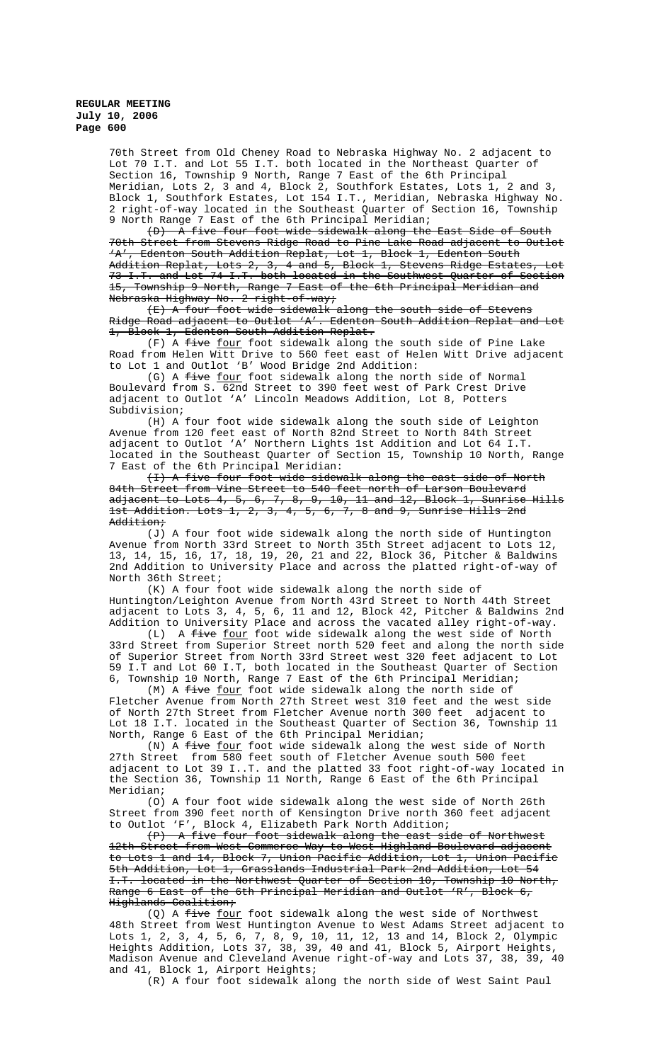70th Street from Old Cheney Road to Nebraska Highway No. 2 adjacent to Lot 70 I.T. and Lot 55 I.T. both located in the Northeast Quarter of Section 16, Township 9 North, Range 7 East of the 6th Principal Meridian, Lots 2, 3 and 4, Block 2, Southfork Estates, Lots 1, 2 and 3, Block 1, Southfork Estates, Lot 154 I.T., Meridian, Nebraska Highway No. 2 right-of-way located in the Southeast Quarter of Section 16, Township 9 North Range 7 East of the 6th Principal Meridian;

(D) A five four foot wide sidewalk along the East Side of South 70th Street from Stevens Ridge Road to Pine Lake Road adjacent to Outlot 'A', Edenton South Addition Replat, Lot 1, Block 1, Edenton South Addition Replat, Lots 2, 3, 4 and 5, Block 1, Stevens Ridge Estates, Lot 73 I.T. and Lot 74 I.T. both located in the Southwest Quarter of Section Township 9 North, Range 7 East of the 6th Principal Meridian and Nebraska Highway No. 2 right-of-way;

(E) A four foot wide sidewalk along the south side of Stevens Ridge Road adjacent to Outlot 'A'. Edenton South Addition Replat and Lot 1, Block 1, Edenton South Addition Replat.

 $(F)$  A  $f$ ive  $f$ our foot sidewalk along the south side of Pine Lake Road from Helen Witt Drive to 560 feet east of Helen Witt Drive adjacent to Lot 1 and Outlot 'B' Wood Bridge 2nd Addition:

(G) A five four foot sidewalk along the north side of Normal Boulevard from S. 62nd Street to 390 feet west of Park Crest Drive adjacent to Outlot 'A' Lincoln Meadows Addition, Lot 8, Potters Subdivision;

(H) A four foot wide sidewalk along the south side of Leighton Avenue from 120 feet east of North 82nd Street to North 84th Street adjacent to Outlot 'A' Northern Lights 1st Addition and Lot 64 I.T. located in the Southeast Quarter of Section 15, Township 10 North, Range 7 East of the 6th Principal Meridian:

(I) A five four foot wide sidewalk along the east side of North 84th Street from Vine Street to 540 feet north of Larson Boulevard adjacent to Lots 4, 5, 6, 7, 8, 9, 10, 11 and 12, Block 1, Sunrise Hills 1st Addition. Lots 1, 2, 3, 4, 5, 6, 7, 8 and 9, Sunrise Hills 2nd Addition;

(J) A four foot wide sidewalk along the north side of Huntington Avenue from North 33rd Street to North 35th Street adjacent to Lots 12, 13, 14, 15, 16, 17, 18, 19, 20, 21 and 22, Block 36, Pitcher & Baldwins 2nd Addition to University Place and across the platted right-of-way of North 36th Street;

(K) A four foot wide sidewalk along the north side of Huntington/Leighton Avenue from North 43rd Street to North 44th Street adjacent to Lots 3, 4, 5, 6, 11 and 12, Block 42, Pitcher & Baldwins 2nd Addition to University Place and across the vacated alley right-of-way.

(L) A five four foot wide sidewalk along the west side of North 33rd Street from Superior Street north 520 feet and along the north side of Superior Street from North 33rd Street west 320 feet adjacent to Lot 59 I.T and Lot 60 I.T, both located in the Southeast Quarter of Section 6, Township 10 North, Range 7 East of the 6th Principal Meridian;

(M) A five four foot wide sidewalk along the north side of Fletcher Avenue from North 27th Street west 310 feet and the west side of North 27th Street from Fletcher Avenue north 300 feet adjacent to Lot 18 I.T. located in the Southeast Quarter of Section 36, Township 11 North, Range 6 East of the 6th Principal Meridian;

(N) A five four foot wide sidewalk along the west side of North 27th Street from 580 feet south of Fletcher Avenue south 500 feet adjacent to Lot 39 I..T. and the platted 33 foot right-of-way located in the Section 36, Township 11 North, Range 6 East of the 6th Principal Meridian;

(O) A four foot wide sidewalk along the west side of North 26th Street from 390 feet north of Kensington Drive north 360 feet adjacent to Outlot 'F', Block 4, Elizabeth Park North Addition;

(P) A five four foot sidewalk along the east side of Northwest 12th Street from West Commerce Way to West Highland Boulevard adjacent to Lots 1 and 14, Block 7, Union Pacific Addition, Lot 1, Union Pacific 5th Addition, Lot 1, Grasslands Industrial Park 2nd Addition, Lot 54 I.T. located in the Northwest Quarter of Section 10, Township 10 North, Range 6 East of the 6th Principal Meridian and Outlot 'R', Block 6, Highlands Coalition;

(Q) A five four foot sidewalk along the west side of Northwest 48th Street from West Huntington Avenue to West Adams Street adjacent to Lots 1, 2, 3, 4, 5, 6, 7, 8, 9, 10, 11, 12, 13 and 14, Block 2, Olympic Heights Addition, Lots 37, 38, 39, 40 and 41, Block 5, Airport Heights, Madison Avenue and Cleveland Avenue right-of-way and Lots 37, 38, 39, 40 and 41, Block 1, Airport Heights;

(R) A four foot sidewalk along the north side of West Saint Paul